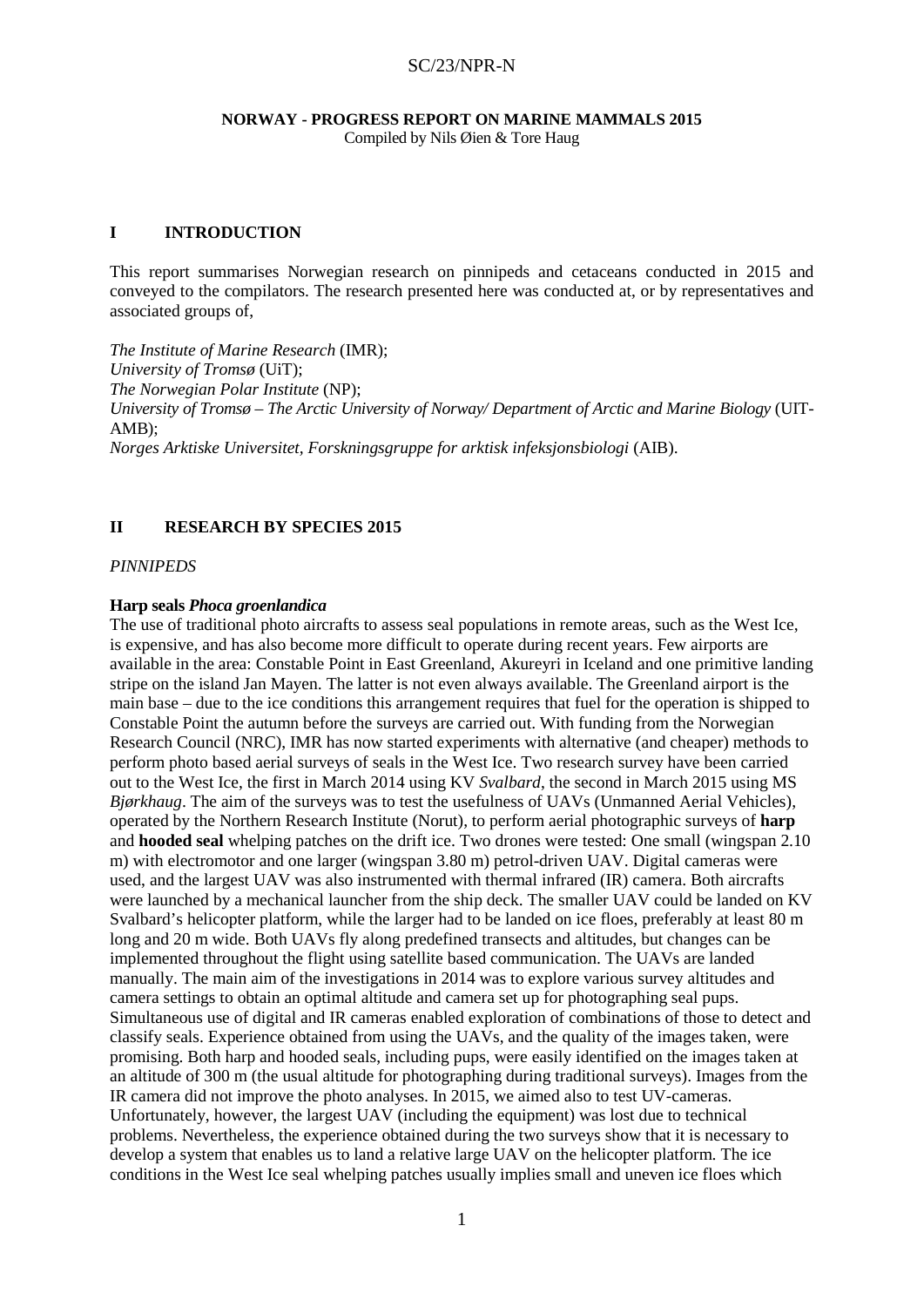# **NORWAY - PROGRESS REPORT ON MARINE MAMMALS 2015**

Compiled by Nils Øien & Tore Haug

### **I INTRODUCTION**

This report summarises Norwegian research on pinnipeds and cetaceans conducted in 2015 and conveyed to the compilators. The research presented here was conducted at, or by representatives and associated groups of,

*The Institute of Marine Research* (IMR); *University of Tromsø* (UiT); *The Norwegian Polar Institute* (NP); *University of Tromsø – The Arctic University of Norway/ Department of Arctic and Marine Biology* (UIT-AMB); *Norges Arktiske Universitet, Forskningsgruppe for arktisk infeksjonsbiologi* (AIB).

# **II RESEARCH BY SPECIES 2015**

*PINNIPEDS*

### **Harp seals** *Phoca groenlandica*

The use of traditional photo aircrafts to assess seal populations in remote areas, such as the West Ice, is expensive, and has also become more difficult to operate during recent years. Few airports are available in the area: Constable Point in East Greenland, Akureyri in Iceland and one primitive landing stripe on the island Jan Mayen. The latter is not even always available. The Greenland airport is the main base – due to the ice conditions this arrangement requires that fuel for the operation is shipped to Constable Point the autumn before the surveys are carried out. With funding from the Norwegian Research Council (NRC), IMR has now started experiments with alternative (and cheaper) methods to perform photo based aerial surveys of seals in the West Ice. Two research survey have been carried out to the West Ice, the first in March 2014 using KV *Svalbard*, the second in March 2015 using MS *Bjørkhaug*. The aim of the surveys was to test the usefulness of UAVs (Unmanned Aerial Vehicles), operated by the Northern Research Institute (Norut), to perform aerial photographic surveys of **harp** and **hooded seal** whelping patches on the drift ice. Two drones were tested: One small (wingspan 2.10 m) with electromotor and one larger (wingspan 3.80 m) petrol-driven UAV. Digital cameras were used, and the largest UAV was also instrumented with thermal infrared (IR) camera. Both aircrafts were launched by a mechanical launcher from the ship deck. The smaller UAV could be landed on KV Svalbard's helicopter platform, while the larger had to be landed on ice floes, preferably at least 80 m long and 20 m wide. Both UAVs fly along predefined transects and altitudes, but changes can be implemented throughout the flight using satellite based communication. The UAVs are landed manually. The main aim of the investigations in 2014 was to explore various survey altitudes and camera settings to obtain an optimal altitude and camera set up for photographing seal pups. Simultaneous use of digital and IR cameras enabled exploration of combinations of those to detect and classify seals. Experience obtained from using the UAVs, and the quality of the images taken, were promising. Both harp and hooded seals, including pups, were easily identified on the images taken at an altitude of 300 m (the usual altitude for photographing during traditional surveys). Images from the IR camera did not improve the photo analyses. In 2015, we aimed also to test UV-cameras. Unfortunately, however, the largest UAV (including the equipment) was lost due to technical problems. Nevertheless, the experience obtained during the two surveys show that it is necessary to develop a system that enables us to land a relative large UAV on the helicopter platform. The ice conditions in the West Ice seal whelping patches usually implies small and uneven ice floes which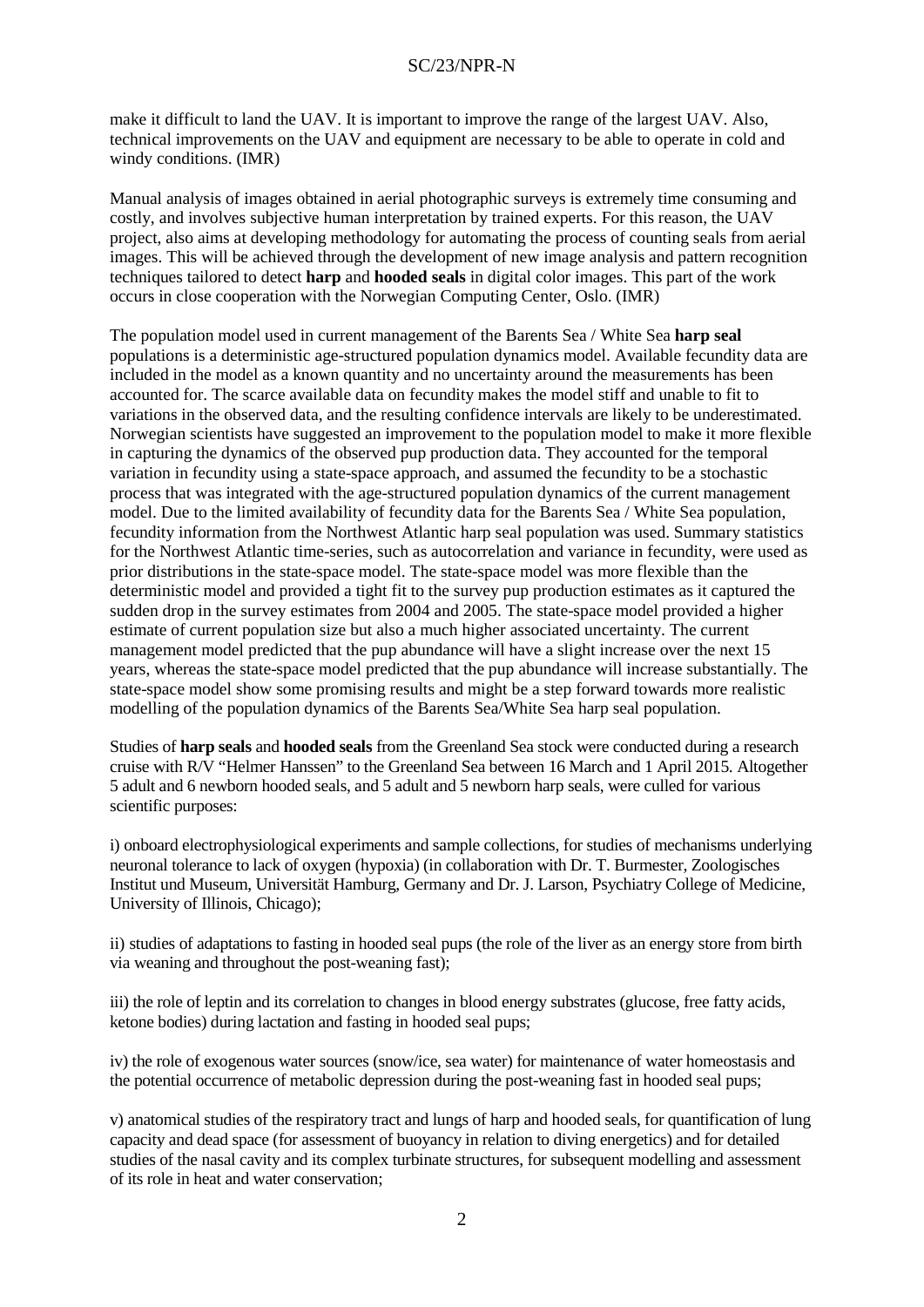make it difficult to land the UAV. It is important to improve the range of the largest UAV. Also, technical improvements on the UAV and equipment are necessary to be able to operate in cold and windy conditions. (IMR)

Manual analysis of images obtained in aerial photographic surveys is extremely time consuming and costly, and involves subjective human interpretation by trained experts. For this reason, the UAV project, also aims at developing methodology for automating the process of counting seals from aerial images. This will be achieved through the development of new image analysis and pattern recognition techniques tailored to detect **harp** and **hooded seals** in digital color images. This part of the work occurs in close cooperation with the Norwegian Computing Center, Oslo. (IMR)

The population model used in current management of the Barents Sea / White Sea **harp seal** populations is a deterministic age-structured population dynamics model. Available fecundity data are included in the model as a known quantity and no uncertainty around the measurements has been accounted for. The scarce available data on fecundity makes the model stiff and unable to fit to variations in the observed data, and the resulting confidence intervals are likely to be underestimated. Norwegian scientists have suggested an improvement to the population model to make it more flexible in capturing the dynamics of the observed pup production data. They accounted for the temporal variation in fecundity using a state-space approach, and assumed the fecundity to be a stochastic process that was integrated with the age-structured population dynamics of the current management model. Due to the limited availability of fecundity data for the Barents Sea / White Sea population, fecundity information from the Northwest Atlantic harp seal population was used. Summary statistics for the Northwest Atlantic time-series, such as autocorrelation and variance in fecundity, were used as prior distributions in the state-space model. The state-space model was more flexible than the deterministic model and provided a tight fit to the survey pup production estimates as it captured the sudden drop in the survey estimates from 2004 and 2005. The state-space model provided a higher estimate of current population size but also a much higher associated uncertainty. The current management model predicted that the pup abundance will have a slight increase over the next 15 years, whereas the state-space model predicted that the pup abundance will increase substantially. The state-space model show some promising results and might be a step forward towards more realistic modelling of the population dynamics of the Barents Sea/White Sea harp seal population.

Studies of **harp seals** and **hooded seals** from the Greenland Sea stock were conducted during a research cruise with R/V "Helmer Hanssen" to the Greenland Sea between 16 March and 1 April 2015. Altogether 5 adult and 6 newborn hooded seals, and 5 adult and 5 newborn harp seals, were culled for various scientific purposes:

i) onboard electrophysiological experiments and sample collections, for studies of mechanisms underlying neuronal tolerance to lack of oxygen (hypoxia) (in collaboration with Dr. T. Burmester, Zoologisches Institut und Museum, Universität Hamburg, Germany and Dr. J. Larson, Psychiatry College of Medicine, University of Illinois, Chicago);

ii) studies of adaptations to fasting in hooded seal pups (the role of the liver as an energy store from birth via weaning and throughout the post-weaning fast);

iii) the role of leptin and its correlation to changes in blood energy substrates (glucose, free fatty acids, ketone bodies) during lactation and fasting in hooded seal pups;

iv) the role of exogenous water sources (snow/ice, sea water) for maintenance of water homeostasis and the potential occurrence of metabolic depression during the post-weaning fast in hooded seal pups;

v) anatomical studies of the respiratory tract and lungs of harp and hooded seals, for quantification of lung capacity and dead space (for assessment of buoyancy in relation to diving energetics) and for detailed studies of the nasal cavity and its complex turbinate structures, for subsequent modelling and assessment of its role in heat and water conservation;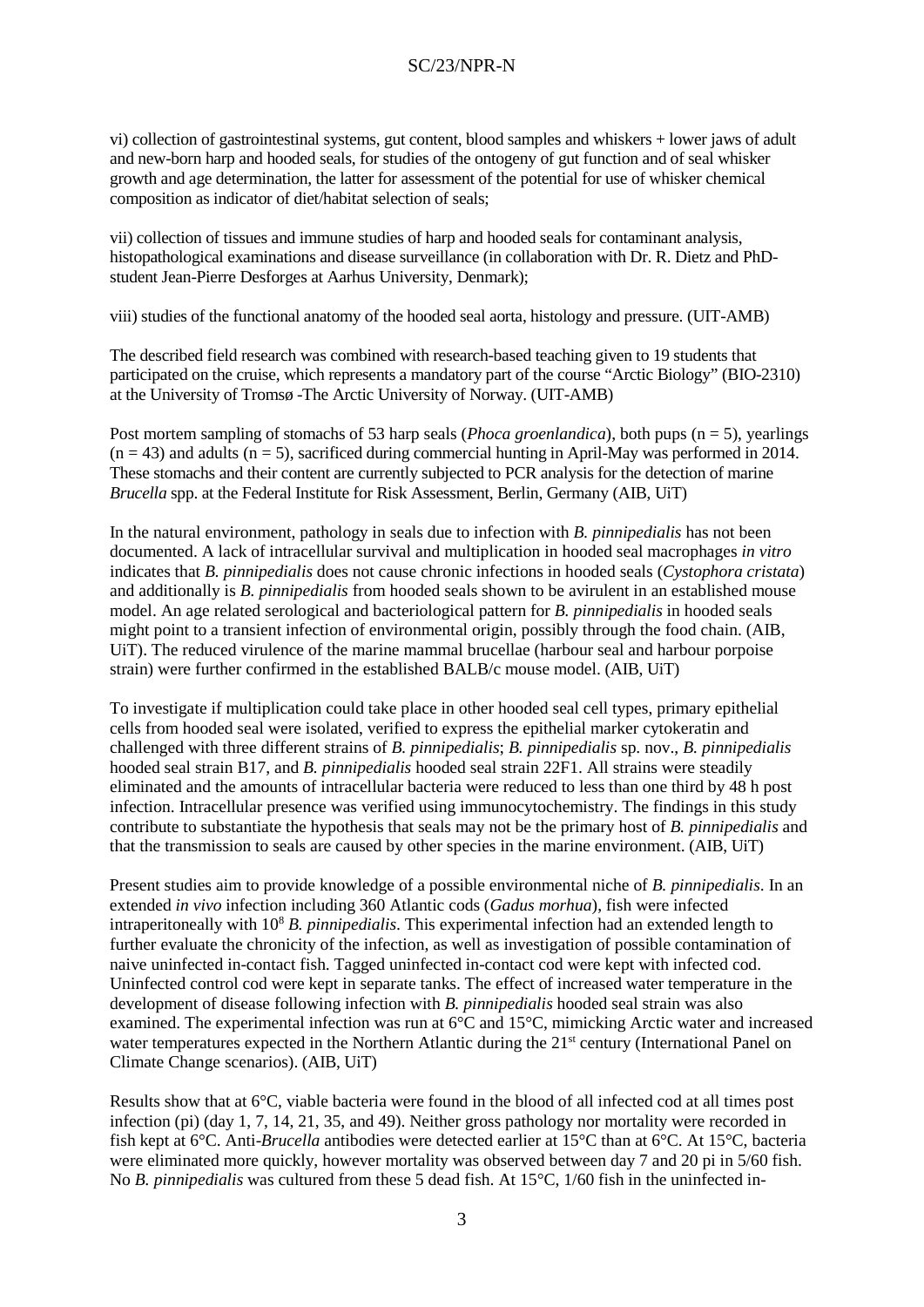vi) collection of gastrointestinal systems, gut content, blood samples and whiskers + lower jaws of adult and new-born harp and hooded seals, for studies of the ontogeny of gut function and of seal whisker growth and age determination, the latter for assessment of the potential for use of whisker chemical composition as indicator of diet/habitat selection of seals;

vii) collection of tissues and immune studies of harp and hooded seals for contaminant analysis, histopathological examinations and disease surveillance (in collaboration with Dr. R. Dietz and PhDstudent Jean-Pierre Desforges at Aarhus University, Denmark);

viii) studies of the functional anatomy of the hooded seal aorta, histology and pressure. (UIT-AMB)

The described field research was combined with research-based teaching given to 19 students that participated on the cruise, which represents a mandatory part of the course "Arctic Biology" (BIO-2310) at the University of Tromsø -The Arctic University of Norway. (UIT-AMB)

Post mortem sampling of stomachs of 53 harp seals (*Phoca groenlandica*), both pups (n = 5), yearlings  $(n = 43)$  and adults  $(n = 5)$ , sacrificed during commercial hunting in April-May was performed in 2014. These stomachs and their content are currently subjected to PCR analysis for the detection of marine *Brucella* spp. at the Federal Institute for Risk Assessment, Berlin, Germany (AIB, UiT)

In the natural environment, pathology in seals due to infection with *B. pinnipedialis* has not been documented. A lack of intracellular survival and multiplication in hooded seal macrophages *in vitro* indicates that *B. pinnipedialis* does not cause chronic infections in hooded seals (*Cystophora cristata*) and additionally is *B. pinnipedialis* from hooded seals shown to be avirulent in an established mouse model. An age related serological and bacteriological pattern for *B. pinnipedialis* in hooded seals might point to a transient infection of environmental origin, possibly through the food chain. (AIB, UiT). The reduced virulence of the marine mammal brucellae (harbour seal and harbour porpoise strain) were further confirmed in the established BALB/c mouse model. (AIB, UiT)

To investigate if multiplication could take place in other hooded seal cell types, primary epithelial cells from hooded seal were isolated, verified to express the epithelial marker cytokeratin and challenged with three different strains of *B. pinnipedialis*; *B. pinnipedialis* sp. nov., *B. pinnipedialis* hooded seal strain B17, and *B. pinnipedialis* hooded seal strain 22F1. All strains were steadily eliminated and the amounts of intracellular bacteria were reduced to less than one third by 48 h post infection. Intracellular presence was verified using immunocytochemistry. The findings in this study contribute to substantiate the hypothesis that seals may not be the primary host of *B. pinnipedialis* and that the transmission to seals are caused by other species in the marine environment. (AIB, UiT)

Present studies aim to provide knowledge of a possible environmental niche of *B. pinnipedialis*. In an extended *in vivo* infection including 360 Atlantic cods (*Gadus morhua*), fish were infected intraperitoneally with 108 *B. pinnipedialis*. This experimental infection had an extended length to further evaluate the chronicity of the infection, as well as investigation of possible contamination of naive uninfected in-contact fish. Tagged uninfected in-contact cod were kept with infected cod. Uninfected control cod were kept in separate tanks. The effect of increased water temperature in the development of disease following infection with *B. pinnipedialis* hooded seal strain was also examined. The experimental infection was run at 6°C and 15°C, mimicking Arctic water and increased water temperatures expected in the Northern Atlantic during the 21<sup>st</sup> century (International Panel on Climate Change scenarios). (AIB, UiT)

Results show that at 6°C, viable bacteria were found in the blood of all infected cod at all times post infection (pi) (day 1, 7, 14, 21, 35, and 49). Neither gross pathology nor mortality were recorded in fish kept at 6°C. Anti-*Brucella* antibodies were detected earlier at 15°C than at 6°C. At 15°C, bacteria were eliminated more quickly, however mortality was observed between day 7 and 20 pi in 5/60 fish. No *B. pinnipedialis* was cultured from these 5 dead fish. At 15°C, 1/60 fish in the uninfected in-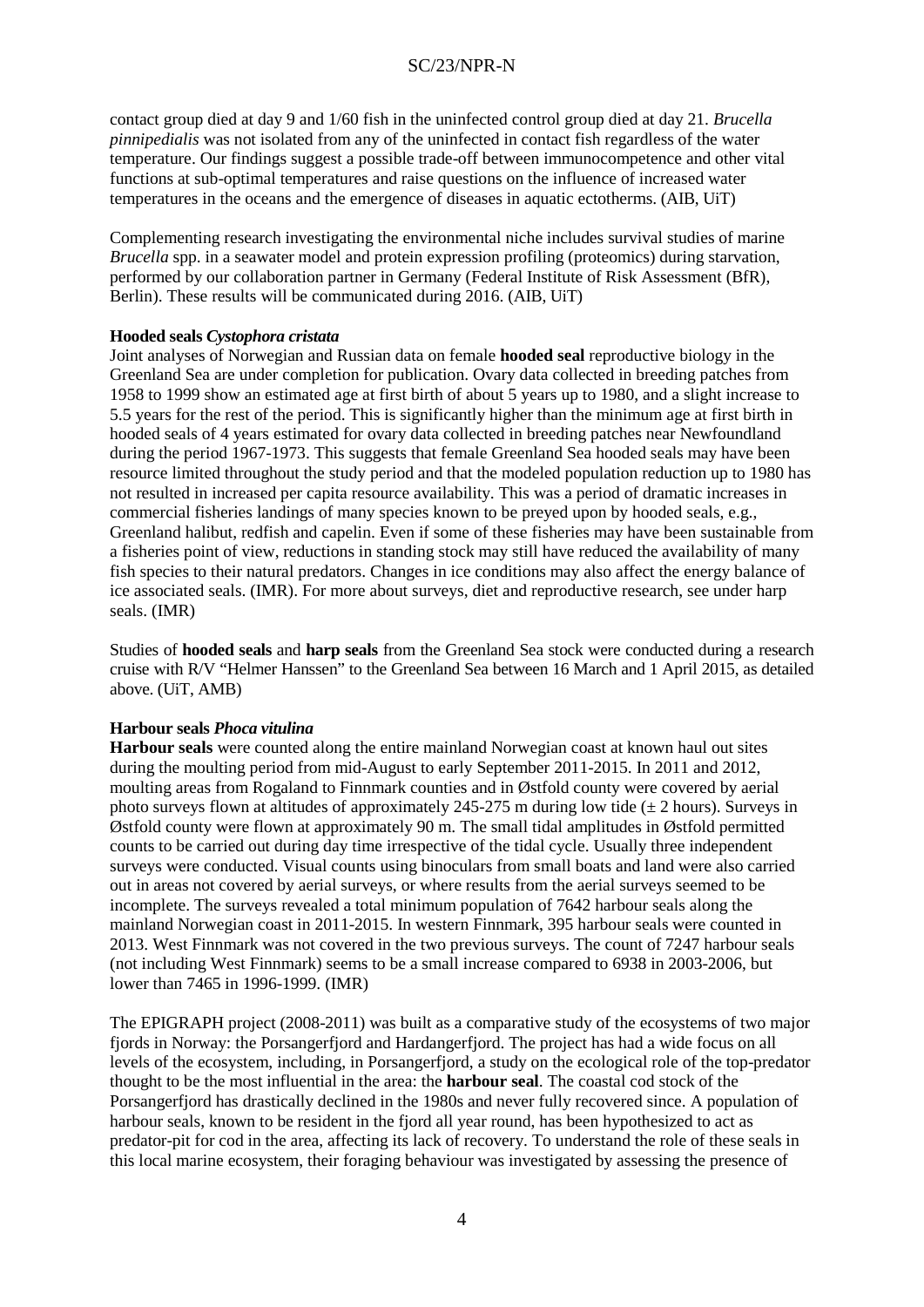contact group died at day 9 and 1/60 fish in the uninfected control group died at day 21. *Brucella pinnipedialis* was not isolated from any of the uninfected in contact fish regardless of the water temperature. Our findings suggest a possible trade-off between immunocompetence and other vital functions at sub-optimal temperatures and raise questions on the influence of increased water temperatures in the oceans and the emergence of diseases in aquatic ectotherms. (AIB, UiT)

Complementing research investigating the environmental niche includes survival studies of marine *Brucella* spp. in a seawater model and protein expression profiling (proteomics) during starvation, performed by our collaboration partner in Germany (Federal Institute of Risk Assessment (BfR), Berlin). These results will be communicated during 2016. (AIB, UiT)

#### **Hooded seals** *Cystophora cristata*

Joint analyses of Norwegian and Russian data on female **hooded seal** reproductive biology in the Greenland Sea are under completion for publication. Ovary data collected in breeding patches from 1958 to 1999 show an estimated age at first birth of about 5 years up to 1980, and a slight increase to 5.5 years for the rest of the period. This is significantly higher than the minimum age at first birth in hooded seals of 4 years estimated for ovary data collected in breeding patches near Newfoundland during the period 1967-1973. This suggests that female Greenland Sea hooded seals may have been resource limited throughout the study period and that the modeled population reduction up to 1980 has not resulted in increased per capita resource availability. This was a period of dramatic increases in commercial fisheries landings of many species known to be preyed upon by hooded seals, e.g., Greenland halibut, redfish and capelin. Even if some of these fisheries may have been sustainable from a fisheries point of view, reductions in standing stock may still have reduced the availability of many fish species to their natural predators. Changes in ice conditions may also affect the energy balance of ice associated seals. (IMR). For more about surveys, diet and reproductive research, see under harp seals. (IMR)

Studies of **hooded seals** and **harp seals** from the Greenland Sea stock were conducted during a research cruise with R/V "Helmer Hanssen" to the Greenland Sea between 16 March and 1 April 2015, as detailed above. (UiT, AMB)

#### **Harbour seals** *Phoca vitulina*

**Harbour seals** were counted along the entire mainland Norwegian coast at known haul out sites during the moulting period from mid-August to early September 2011-2015. In 2011 and 2012, moulting areas from Rogaland to Finnmark counties and in Østfold county were covered by aerial photo surveys flown at altitudes of approximately 245-275 m during low tide  $(\pm 2 \text{ hours})$ . Surveys in Østfold county were flown at approximately 90 m. The small tidal amplitudes in Østfold permitted counts to be carried out during day time irrespective of the tidal cycle. Usually three independent surveys were conducted. Visual counts using binoculars from small boats and land were also carried out in areas not covered by aerial surveys, or where results from the aerial surveys seemed to be incomplete. The surveys revealed a total minimum population of 7642 harbour seals along the mainland Norwegian coast in 2011-2015. In western Finnmark, 395 harbour seals were counted in 2013. West Finnmark was not covered in the two previous surveys. The count of 7247 harbour seals (not including West Finnmark) seems to be a small increase compared to 6938 in 2003-2006, but lower than 7465 in 1996-1999. (IMR)

The EPIGRAPH project (2008-2011) was built as a comparative study of the ecosystems of two major fjords in Norway: the Porsangerfjord and Hardangerfjord. The project has had a wide focus on all levels of the ecosystem, including, in Porsangerfjord, a study on the ecological role of the top-predator thought to be the most influential in the area: the **harbour seal**. The coastal cod stock of the Porsangerfjord has drastically declined in the 1980s and never fully recovered since. A population of harbour seals, known to be resident in the fjord all year round, has been hypothesized to act as predator-pit for cod in the area, affecting its lack of recovery. To understand the role of these seals in this local marine ecosystem, their foraging behaviour was investigated by assessing the presence of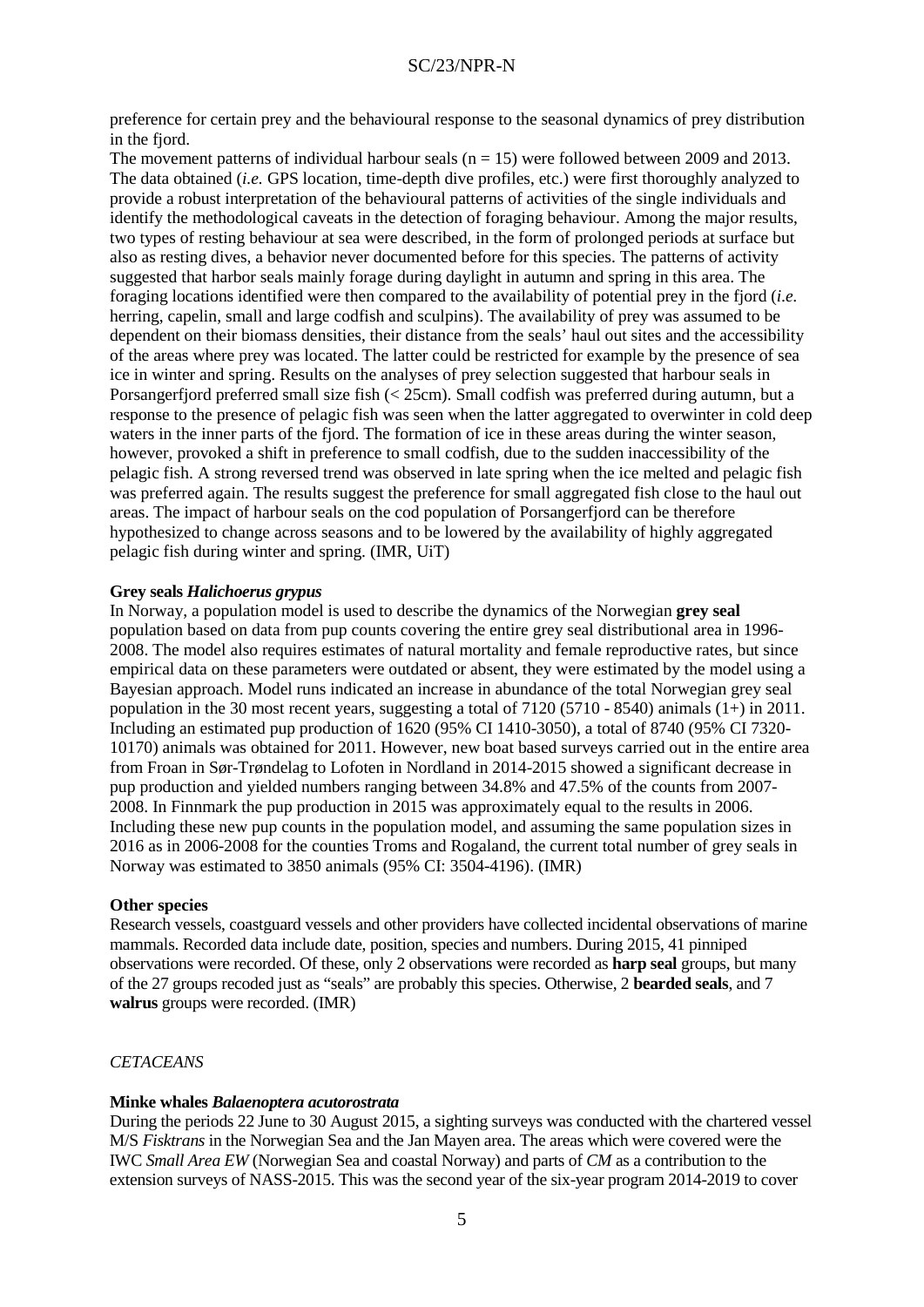preference for certain prey and the behavioural response to the seasonal dynamics of prey distribution in the fiord.

The movement patterns of individual harbour seals  $(n = 15)$  were followed between 2009 and 2013. The data obtained (*i.e.* GPS location, time-depth dive profiles, etc.) were first thoroughly analyzed to provide a robust interpretation of the behavioural patterns of activities of the single individuals and identify the methodological caveats in the detection of foraging behaviour. Among the major results, two types of resting behaviour at sea were described, in the form of prolonged periods at surface but also as resting dives, a behavior never documented before for this species. The patterns of activity suggested that harbor seals mainly forage during daylight in autumn and spring in this area. The foraging locations identified were then compared to the availability of potential prey in the fjord (*i.e.*  herring, capelin, small and large codfish and sculpins). The availability of prey was assumed to be dependent on their biomass densities, their distance from the seals' haul out sites and the accessibility of the areas where prey was located. The latter could be restricted for example by the presence of sea ice in winter and spring. Results on the analyses of prey selection suggested that harbour seals in Porsangerfjord preferred small size fish (< 25cm). Small codfish was preferred during autumn, but a response to the presence of pelagic fish was seen when the latter aggregated to overwinter in cold deep waters in the inner parts of the fjord. The formation of ice in these areas during the winter season, however, provoked a shift in preference to small codfish, due to the sudden inaccessibility of the pelagic fish. A strong reversed trend was observed in late spring when the ice melted and pelagic fish was preferred again. The results suggest the preference for small aggregated fish close to the haul out areas. The impact of harbour seals on the cod population of Porsangerfjord can be therefore hypothesized to change across seasons and to be lowered by the availability of highly aggregated pelagic fish during winter and spring. (IMR, UiT)

#### **Grey seals** *Halichoerus grypus*

In Norway, a population model is used to describe the dynamics of the Norwegian **grey seal** population based on data from pup counts covering the entire grey seal distributional area in 1996- 2008. The model also requires estimates of natural mortality and female reproductive rates, but since empirical data on these parameters were outdated or absent, they were estimated by the model using a Bayesian approach. Model runs indicated an increase in abundance of the total Norwegian grey seal population in the 30 most recent years, suggesting a total of 7120 (5710 - 8540) animals (1+) in 2011. Including an estimated pup production of 1620 (95% CI 1410-3050), a total of 8740 (95% CI 7320- 10170) animals was obtained for 2011. However, new boat based surveys carried out in the entire area from Froan in Sør-Trøndelag to Lofoten in Nordland in 2014-2015 showed a significant decrease in pup production and yielded numbers ranging between 34.8% and 47.5% of the counts from 2007- 2008. In Finnmark the pup production in 2015 was approximately equal to the results in 2006. Including these new pup counts in the population model, and assuming the same population sizes in 2016 as in 2006-2008 for the counties Troms and Rogaland, the current total number of grey seals in Norway was estimated to 3850 animals (95% CI: 3504-4196). (IMR)

#### **Other species**

Research vessels, coastguard vessels and other providers have collected incidental observations of marine mammals. Recorded data include date, position, species and numbers. During 2015, 41 pinniped observations were recorded. Of these, only 2 observations were recorded as **harp seal** groups, but many of the 27 groups recoded just as "seals" are probably this species. Otherwise, 2 **bearded seals**, and 7 **walrus** groups were recorded. (IMR)

#### *CETACEANS*

#### **Minke whales** *Balaenoptera acutorostrata*

During the periods 22 June to 30 August 2015, a sighting surveys was conducted with the chartered vessel M/S *Fisktrans* in the Norwegian Sea and the Jan Mayen area. The areas which were covered were the IWC *Small Area EW* (Norwegian Sea and coastal Norway) and parts of *CM* as a contribution to the extension surveys of NASS-2015. This was the second year of the six-year program 2014-2019 to cover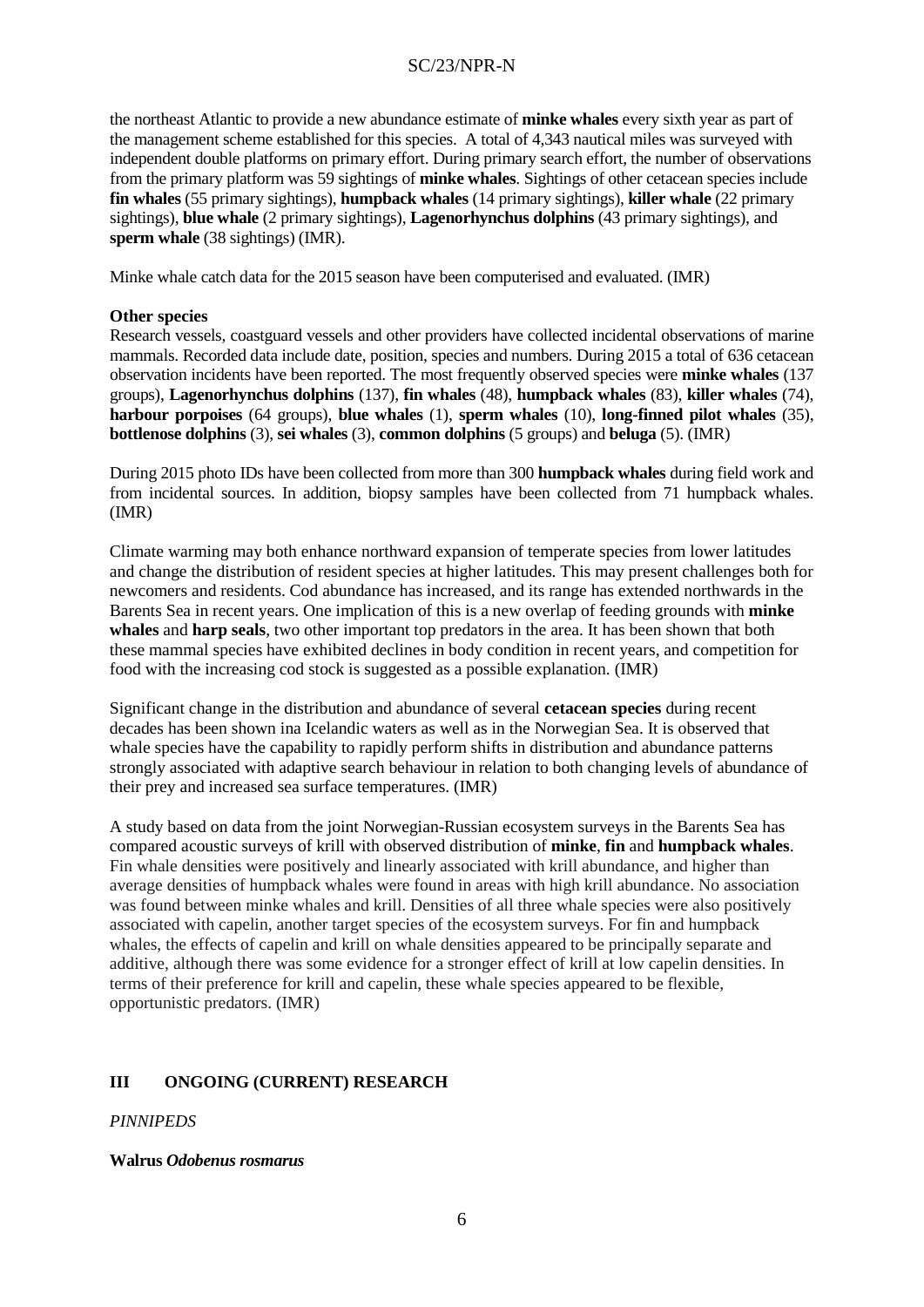the northeast Atlantic to provide a new abundance estimate of **minke whales** every sixth year as part of the management scheme established for this species. A total of 4,343 nautical miles was surveyed with independent double platforms on primary effort. During primary search effort, the number of observations from the primary platform was 59 sightings of **minke whales**. Sightings of other cetacean species include **fin whales** (55 primary sightings), **humpback whales** (14 primary sightings), **killer whale** (22 primary sightings), **blue whale** (2 primary sightings), **Lagenorhynchus dolphins** (43 primary sightings), and **sperm whale** (38 sightings) (IMR).

Minke whale catch data for the 2015 season have been computerised and evaluated. (IMR)

### **Other species**

Research vessels, coastguard vessels and other providers have collected incidental observations of marine mammals. Recorded data include date, position, species and numbers. During 2015 a total of 636 cetacean observation incidents have been reported. The most frequently observed species were **minke whales** (137 groups), **Lagenorhynchus dolphins** (137), **fin whales** (48), **humpback whales** (83), **killer whales** (74), **harbour porpoises** (64 groups), **blue whales** (1), **sperm whales** (10), **long-finned pilot whales** (35), **bottlenose dolphins** (3), **sei whales** (3), **common dolphins** (5 groups) and **beluga** (5). (IMR)

During 2015 photo IDs have been collected from more than 300 **humpback whales** during field work and from incidental sources. In addition, biopsy samples have been collected from 71 humpback whales. (IMR)

Climate warming may both enhance northward expansion of temperate species from lower latitudes and change the distribution of resident species at higher latitudes. This may present challenges both for newcomers and residents. Cod abundance has increased, and its range has extended northwards in the Barents Sea in recent years. One implication of this is a new overlap of feeding grounds with **minke whales** and **harp seals**, two other important top predators in the area. It has been shown that both these mammal species have exhibited declines in body condition in recent years, and competition for food with the increasing cod stock is suggested as a possible explanation. (IMR)

Significant change in the distribution and abundance of several **cetacean species** during recent decades has been shown ina Icelandic waters as well as in the Norwegian Sea. It is observed that whale species have the capability to rapidly perform shifts in distribution and abundance patterns strongly associated with adaptive search behaviour in relation to both changing levels of abundance of their prey and increased sea surface temperatures. (IMR)

A study based on data from the joint Norwegian-Russian ecosystem surveys in the Barents Sea has compared acoustic surveys of krill with observed distribution of **minke**, **fin** and **humpback whales**. Fin whale densities were positively and linearly associated with krill abundance, and higher than average densities of humpback whales were found in areas with high krill abundance. No association was found between minke whales and krill. Densities of all three whale species were also positively associated with capelin, another target species of the ecosystem surveys. For fin and humpback whales, the effects of capelin and krill on whale densities appeared to be principally separate and additive, although there was some evidence for a stronger effect of krill at low capelin densities. In terms of their preference for krill and capelin, these whale species appeared to be flexible, opportunistic predators. (IMR)

# **III ONGOING (CURRENT) RESEARCH**

### *PINNIPEDS*

### **Walrus** *Odobenus rosmarus*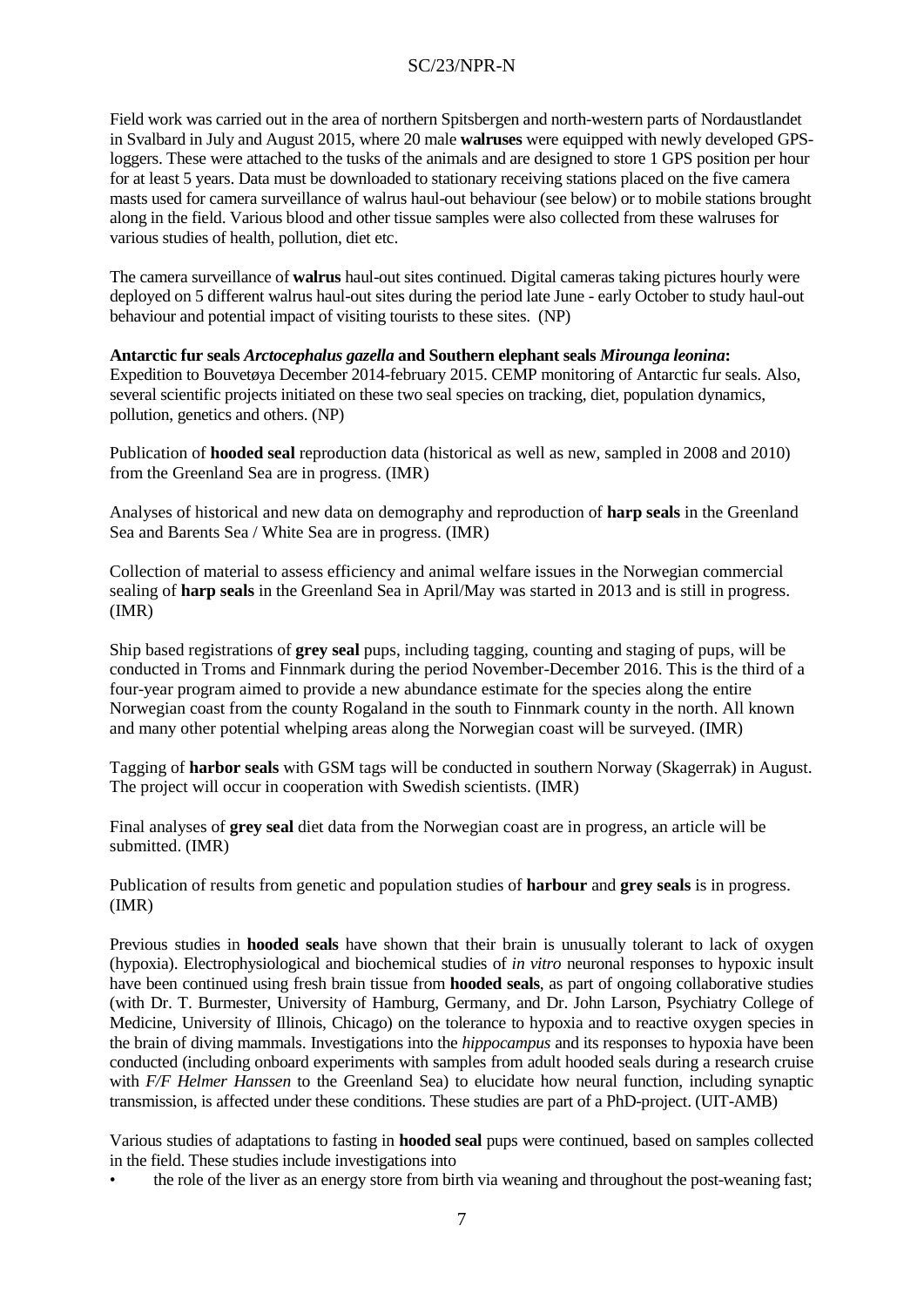Field work was carried out in the area of northern Spitsbergen and north-western parts of Nordaustlandet in Svalbard in July and August 2015, where 20 male **walruses** were equipped with newly developed GPSloggers. These were attached to the tusks of the animals and are designed to store 1 GPS position per hour for at least 5 years. Data must be downloaded to stationary receiving stations placed on the five camera masts used for camera surveillance of walrus haul-out behaviour (see below) or to mobile stations brought along in the field. Various blood and other tissue samples were also collected from these walruses for various studies of health, pollution, diet etc.

The camera surveillance of **walrus** haul-out sites continued. Digital cameras taking pictures hourly were deployed on 5 different walrus haul-out sites during the period late June - early October to study haul-out behaviour and potential impact of visiting tourists to these sites. (NP)

**Antarctic fur seals** *Arctocephalus gazella* **and Southern elephant seals** *Mirounga leonina***:** Expedition to Bouvetøya December 2014-february 2015. CEMP monitoring of Antarctic fur seals. Also, several scientific projects initiated on these two seal species on tracking, diet, population dynamics, pollution, genetics and others. (NP)

Publication of **hooded seal** reproduction data (historical as well as new, sampled in 2008 and 2010) from the Greenland Sea are in progress. (IMR)

Analyses of historical and new data on demography and reproduction of **harp seals** in the Greenland Sea and Barents Sea / White Sea are in progress. (IMR)

Collection of material to assess efficiency and animal welfare issues in the Norwegian commercial sealing of **harp seals** in the Greenland Sea in April/May was started in 2013 and is still in progress. (IMR)

Ship based registrations of **grey seal** pups, including tagging, counting and staging of pups, will be conducted in Troms and Finnmark during the period November-December 2016. This is the third of a four-year program aimed to provide a new abundance estimate for the species along the entire Norwegian coast from the county Rogaland in the south to Finnmark county in the north. All known and many other potential whelping areas along the Norwegian coast will be surveyed. (IMR)

Tagging of **harbor seals** with GSM tags will be conducted in southern Norway (Skagerrak) in August. The project will occur in cooperation with Swedish scientists. (IMR)

Final analyses of **grey seal** diet data from the Norwegian coast are in progress, an article will be submitted. (IMR)

Publication of results from genetic and population studies of **harbour** and **grey seals** is in progress. (IMR)

Previous studies in **hooded seals** have shown that their brain is unusually tolerant to lack of oxygen (hypoxia). Electrophysiological and biochemical studies of *in vitro* neuronal responses to hypoxic insult have been continued using fresh brain tissue from **hooded seals**, as part of ongoing collaborative studies (with Dr. T. Burmester, University of Hamburg, Germany, and Dr. John Larson, Psychiatry College of Medicine, University of Illinois, Chicago) on the tolerance to hypoxia and to reactive oxygen species in the brain of diving mammals. Investigations into the *hippocampus* and its responses to hypoxia have been conducted (including onboard experiments with samples from adult hooded seals during a research cruise with *F/F Helmer Hanssen* to the Greenland Sea) to elucidate how neural function, including synaptic transmission, is affected under these conditions. These studies are part of a PhD-project. (UIT-AMB)

Various studies of adaptations to fasting in **hooded seal** pups were continued, based on samples collected in the field. These studies include investigations into

• the role of the liver as an energy store from birth via weaning and throughout the post-weaning fast;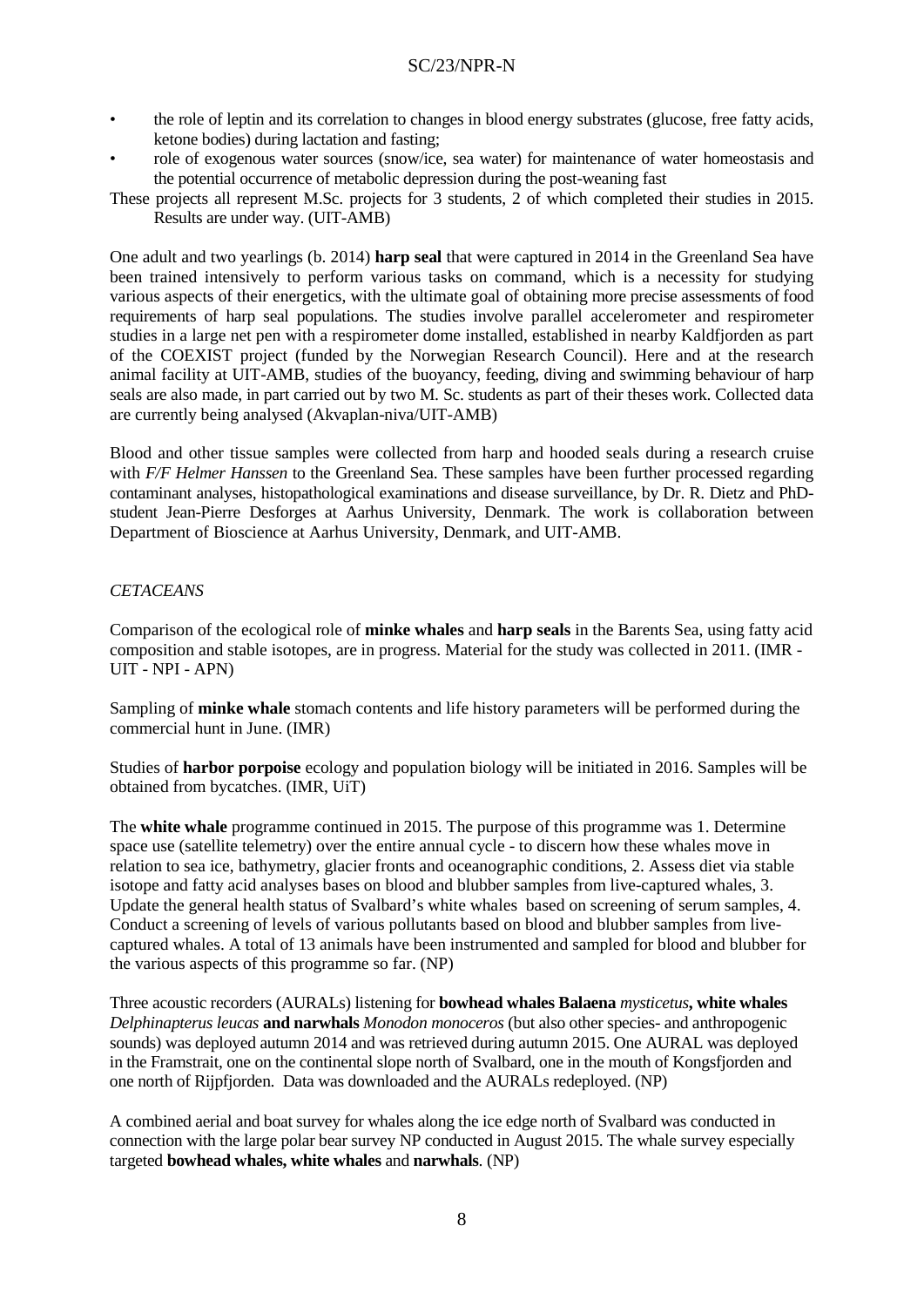- the role of leptin and its correlation to changes in blood energy substrates (glucose, free fatty acids, ketone bodies) during lactation and fasting;
- role of exogenous water sources (snow/ice, sea water) for maintenance of water homeostasis and the potential occurrence of metabolic depression during the post-weaning fast
- These projects all represent M.Sc. projects for 3 students, 2 of which completed their studies in 2015. Results are under way. (UIT-AMB)

One adult and two yearlings (b. 2014) **harp seal** that were captured in 2014 in the Greenland Sea have been trained intensively to perform various tasks on command, which is a necessity for studying various aspects of their energetics, with the ultimate goal of obtaining more precise assessments of food requirements of harp seal populations. The studies involve parallel accelerometer and respirometer studies in a large net pen with a respirometer dome installed, established in nearby Kaldfjorden as part of the COEXIST project (funded by the Norwegian Research Council). Here and at the research animal facility at UIT-AMB, studies of the buoyancy, feeding, diving and swimming behaviour of harp seals are also made, in part carried out by two M. Sc. students as part of their theses work. Collected data are currently being analysed (Akvaplan-niva/UIT-AMB)

Blood and other tissue samples were collected from harp and hooded seals during a research cruise with *F/F Helmer Hanssen* to the Greenland Sea. These samples have been further processed regarding contaminant analyses, histopathological examinations and disease surveillance, by Dr. R. Dietz and PhDstudent Jean-Pierre Desforges at Aarhus University, Denmark. The work is collaboration between Department of Bioscience at Aarhus University, Denmark, and UIT-AMB.

### *CETACEANS*

Comparison of the ecological role of **minke whales** and **harp seals** in the Barents Sea, using fatty acid composition and stable isotopes, are in progress. Material for the study was collected in 2011. (IMR - UIT - NPI - APN)

Sampling of **minke whale** stomach contents and life history parameters will be performed during the commercial hunt in June. (IMR)

Studies of **harbor porpoise** ecology and population biology will be initiated in 2016. Samples will be obtained from bycatches. (IMR, UiT)

The **white whale** programme continued in 2015. The purpose of this programme was 1. Determine space use (satellite telemetry) over the entire annual cycle - to discern how these whales move in relation to sea ice, bathymetry, glacier fronts and oceanographic conditions, 2. Assess diet via stable isotope and fatty acid analyses bases on blood and blubber samples from live-captured whales, 3. Update the general health status of Svalbard's white whales based on screening of serum samples, 4. Conduct a screening of levels of various pollutants based on blood and blubber samples from livecaptured whales. A total of 13 animals have been instrumented and sampled for blood and blubber for the various aspects of this programme so far. (NP)

Three acoustic recorders (AURALs) listening for **bowhead whales Balaena** *mysticetus***, white whales**  *Delphinapterus leucas* **and narwhals** *Monodon monoceros* (but also other species- and anthropogenic sounds) was deployed autumn 2014 and was retrieved during autumn 2015. One AURAL was deployed in the Framstrait, one on the continental slope north of Svalbard, one in the mouth of Kongsfjorden and one north of Rijpfjorden. Data was downloaded and the AURALs redeployed. (NP)

A combined aerial and boat survey for whales along the ice edge north of Svalbard was conducted in connection with the large polar bear survey NP conducted in August 2015. The whale survey especially targeted **bowhead whales, white whales** and **narwhals**. (NP)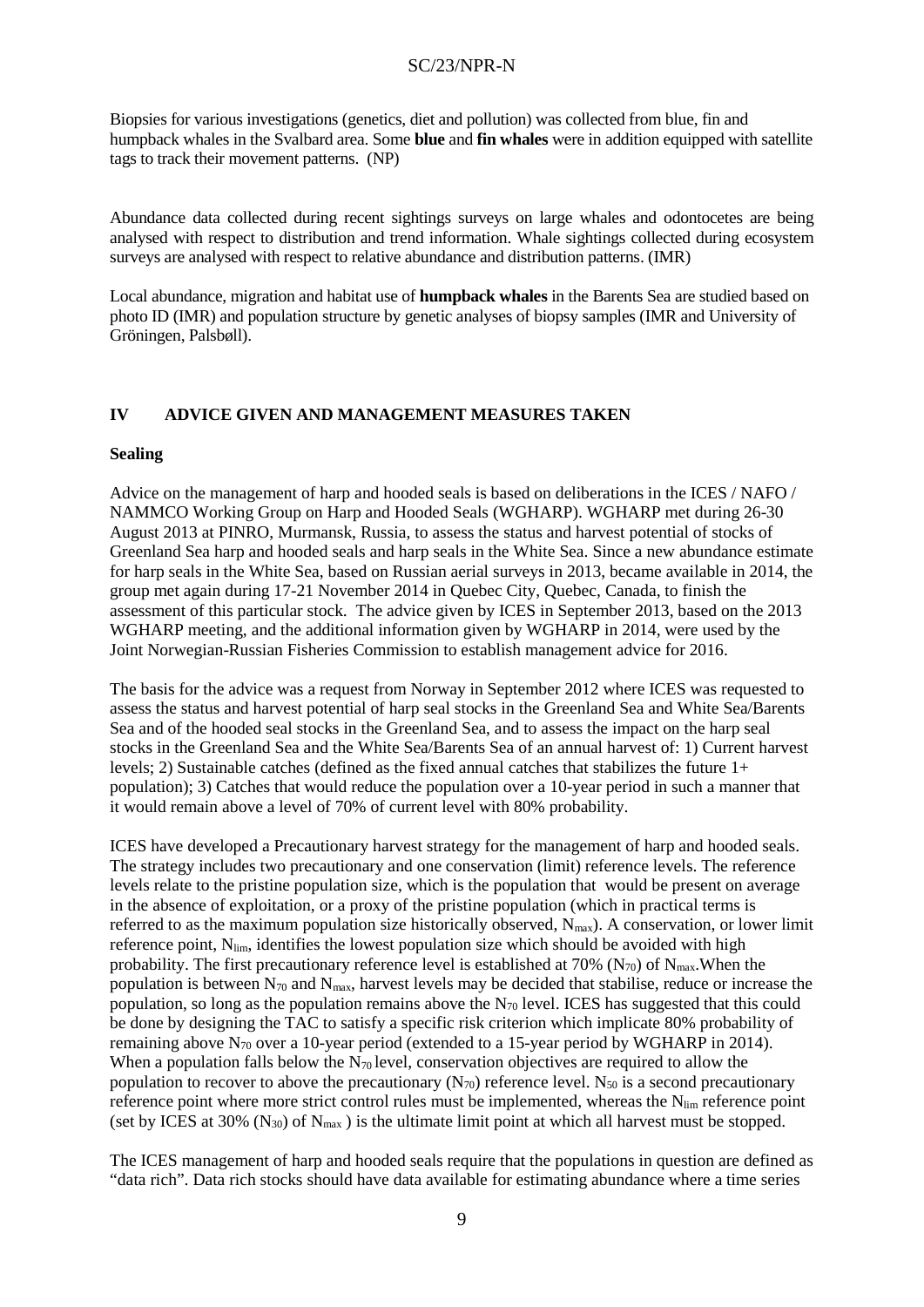Biopsies for various investigations (genetics, diet and pollution) was collected from blue, fin and humpback whales in the Svalbard area. Some **blue** and **fin whales** were in addition equipped with satellite tags to track their movement patterns. (NP)

Abundance data collected during recent sightings surveys on large whales and odontocetes are being analysed with respect to distribution and trend information. Whale sightings collected during ecosystem surveys are analysed with respect to relative abundance and distribution patterns. (IMR)

Local abundance, migration and habitat use of **humpback whales** in the Barents Sea are studied based on photo ID (IMR) and population structure by genetic analyses of biopsy samples (IMR and University of Gröningen, Palsbøll).

### **IV ADVICE GIVEN AND MANAGEMENT MEASURES TAKEN**

#### **Sealing**

Advice on the management of harp and hooded seals is based on deliberations in the ICES / NAFO / NAMMCO Working Group on Harp and Hooded Seals (WGHARP). WGHARP met during 26-30 August 2013 at PINRO, Murmansk, Russia, to assess the status and harvest potential of stocks of Greenland Sea harp and hooded seals and harp seals in the White Sea. Since a new abundance estimate for harp seals in the White Sea, based on Russian aerial surveys in 2013, became available in 2014, the group met again during 17-21 November 2014 in Quebec City, Quebec, Canada, to finish the assessment of this particular stock. The advice given by ICES in September 2013, based on the 2013 WGHARP meeting, and the additional information given by WGHARP in 2014, were used by the Joint Norwegian-Russian Fisheries Commission to establish management advice for 2016.

The basis for the advice was a request from Norway in September 2012 where ICES was requested to assess the status and harvest potential of harp seal stocks in the Greenland Sea and White Sea/Barents Sea and of the hooded seal stocks in the Greenland Sea, and to assess the impact on the harp seal stocks in the Greenland Sea and the White Sea/Barents Sea of an annual harvest of: 1) Current harvest levels; 2) Sustainable catches (defined as the fixed annual catches that stabilizes the future 1+ population); 3) Catches that would reduce the population over a 10-year period in such a manner that it would remain above a level of 70% of current level with 80% probability.

ICES have developed a Precautionary harvest strategy for the management of harp and hooded seals. The strategy includes two precautionary and one conservation (limit) reference levels. The reference levels relate to the pristine population size, which is the population that would be present on average in the absence of exploitation, or a proxy of the pristine population (which in practical terms is referred to as the maximum population size historically observed, N<sub>max</sub>). A conservation, or lower limit reference point, N<sub>lim</sub>, identifies the lowest population size which should be avoided with high probability. The first precautionary reference level is established at 70% ( $N_{70}$ ) of  $N_{\text{max}}$ . When the population is between  $N_{70}$  and  $N_{max}$ , harvest levels may be decided that stabilise, reduce or increase the population, so long as the population remains above the  $N_{70}$  level. ICES has suggested that this could be done by designing the TAC to satisfy a specific risk criterion which implicate 80% probability of remaining above N<sub>70</sub> over a 10-year period (extended to a 15-year period by WGHARP in 2014). When a population falls below the  $N_{70}$  level, conservation objectives are required to allow the population to recover to above the precautionary  $(N_{70})$  reference level.  $N_{50}$  is a second precautionary reference point where more strict control rules must be implemented, whereas the Nlim reference point (set by ICES at 30%  $(N_{30})$  of  $N_{max}$ ) is the ultimate limit point at which all harvest must be stopped.

The ICES management of harp and hooded seals require that the populations in question are defined as "data rich". Data rich stocks should have data available for estimating abundance where a time series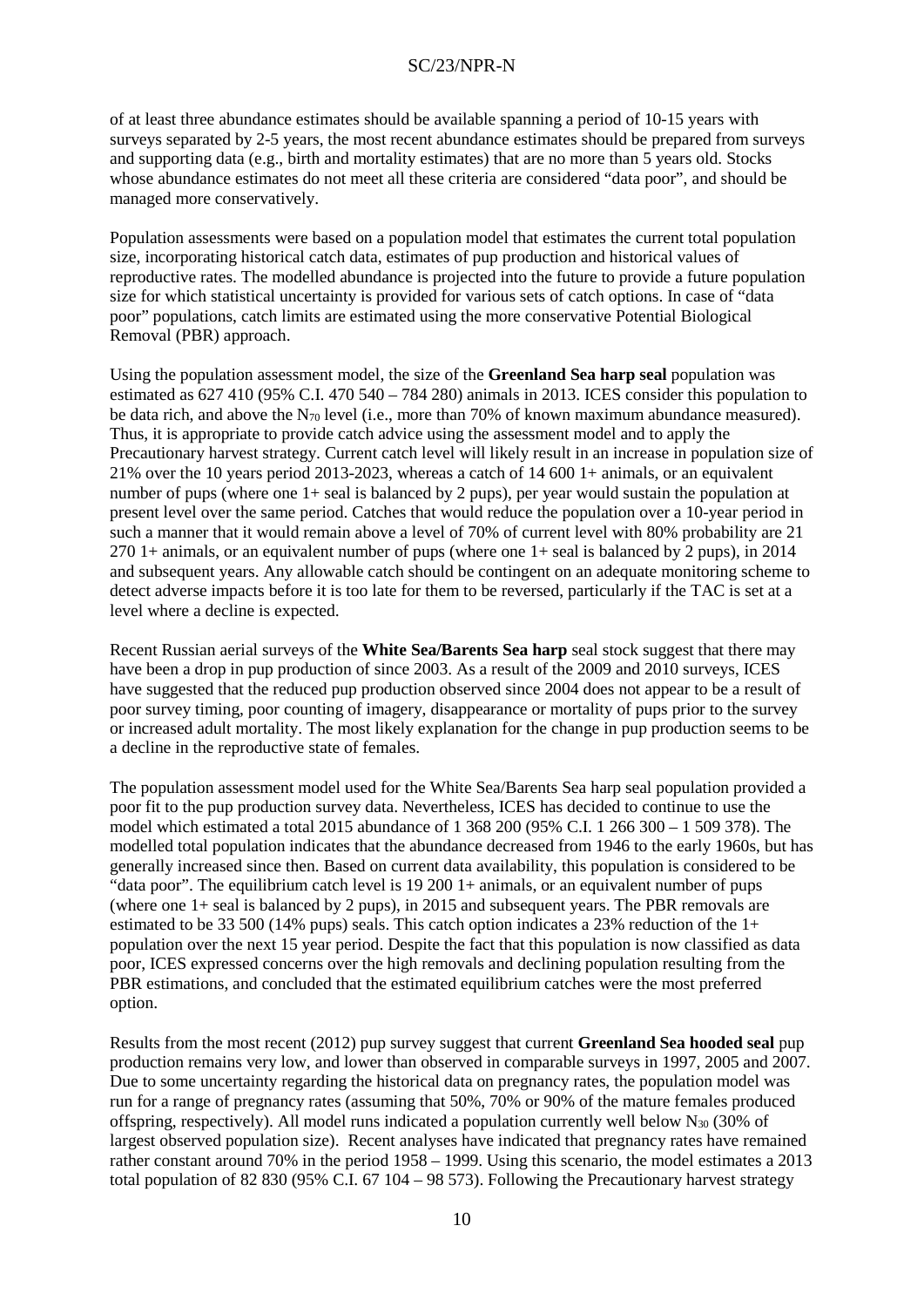of at least three abundance estimates should be available spanning a period of 10-15 years with surveys separated by 2-5 years, the most recent abundance estimates should be prepared from surveys and supporting data (e.g., birth and mortality estimates) that are no more than 5 years old. Stocks whose abundance estimates do not meet all these criteria are considered "data poor", and should be managed more conservatively.

Population assessments were based on a population model that estimates the current total population size, incorporating historical catch data, estimates of pup production and historical values of reproductive rates. The modelled abundance is projected into the future to provide a future population size for which statistical uncertainty is provided for various sets of catch options. In case of "data poor" populations, catch limits are estimated using the more conservative Potential Biological Removal (PBR) approach.

Using the population assessment model, the size of the **Greenland Sea harp seal** population was estimated as 627 410 (95% C.I. 470 540 – 784 280) animals in 2013. ICES consider this population to be data rich, and above the  $N_{70}$  level (i.e., more than 70% of known maximum abundance measured). Thus, it is appropriate to provide catch advice using the assessment model and to apply the Precautionary harvest strategy. Current catch level will likely result in an increase in population size of 21% over the 10 years period 2013-2023, whereas a catch of 14 600 1+ animals, or an equivalent number of pups (where one 1+ seal is balanced by 2 pups), per year would sustain the population at present level over the same period. Catches that would reduce the population over a 10-year period in such a manner that it would remain above a level of 70% of current level with 80% probability are 21 270 1+ animals, or an equivalent number of pups (where one 1+ seal is balanced by 2 pups), in 2014 and subsequent years. Any allowable catch should be contingent on an adequate monitoring scheme to detect adverse impacts before it is too late for them to be reversed, particularly if the TAC is set at a level where a decline is expected.

Recent Russian aerial surveys of the **White Sea/Barents Sea harp** seal stock suggest that there may have been a drop in pup production of since 2003. As a result of the 2009 and 2010 surveys, ICES have suggested that the reduced pup production observed since 2004 does not appear to be a result of poor survey timing, poor counting of imagery, disappearance or mortality of pups prior to the survey or increased adult mortality. The most likely explanation for the change in pup production seems to be a decline in the reproductive state of females.

The population assessment model used for the White Sea/Barents Sea harp seal population provided a poor fit to the pup production survey data. Nevertheless, ICES has decided to continue to use the model which estimated a total 2015 abundance of 1 368 200 (95% C.I. 1 266 300 – 1 509 378). The modelled total population indicates that the abundance decreased from 1946 to the early 1960s, but has generally increased since then. Based on current data availability, this population is considered to be "data poor". The equilibrium catch level is 19 200 1+ animals, or an equivalent number of pups (where one 1+ seal is balanced by 2 pups), in 2015 and subsequent years. The PBR removals are estimated to be 33 500 (14% pups) seals. This catch option indicates a 23% reduction of the 1+ population over the next 15 year period. Despite the fact that this population is now classified as data poor, ICES expressed concerns over the high removals and declining population resulting from the PBR estimations, and concluded that the estimated equilibrium catches were the most preferred option.

Results from the most recent (2012) pup survey suggest that current **Greenland Sea hooded seal** pup production remains very low, and lower than observed in comparable surveys in 1997, 2005 and 2007. Due to some uncertainty regarding the historical data on pregnancy rates, the population model was run for a range of pregnancy rates (assuming that 50%, 70% or 90% of the mature females produced offspring, respectively). All model runs indicated a population currently well below  $N_{30}$  (30% of largest observed population size). Recent analyses have indicated that pregnancy rates have remained rather constant around 70% in the period 1958 – 1999. Using this scenario, the model estimates a 2013 total population of 82 830 (95% C.I. 67 104 – 98 573). Following the Precautionary harvest strategy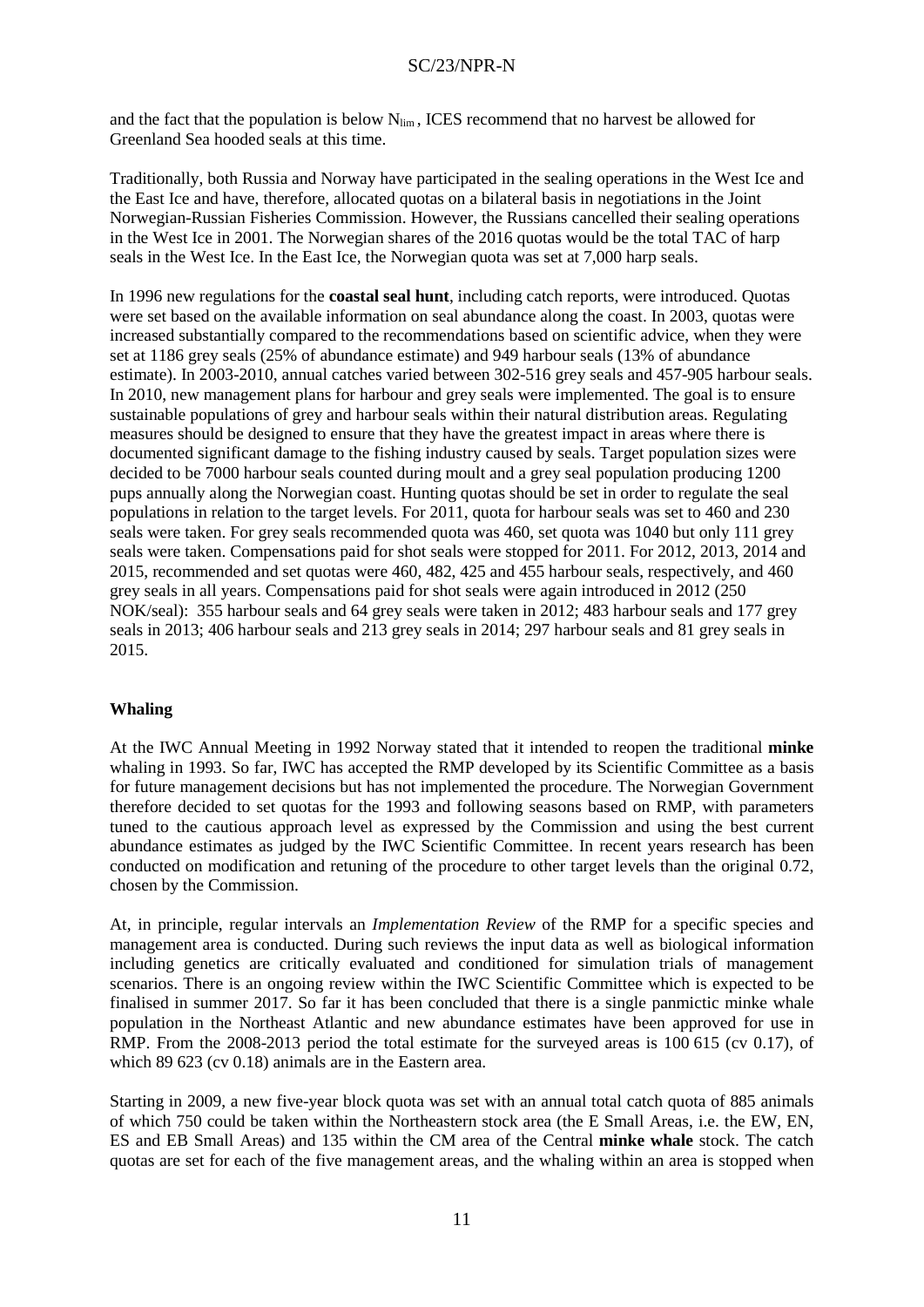and the fact that the population is below  $N_{\text{lim}}$ , ICES recommend that no harvest be allowed for Greenland Sea hooded seals at this time.

Traditionally, both Russia and Norway have participated in the sealing operations in the West Ice and the East Ice and have, therefore, allocated quotas on a bilateral basis in negotiations in the Joint Norwegian-Russian Fisheries Commission. However, the Russians cancelled their sealing operations in the West Ice in 2001. The Norwegian shares of the 2016 quotas would be the total TAC of harp seals in the West Ice. In the East Ice, the Norwegian quota was set at 7,000 harp seals.

In 1996 new regulations for the **coastal seal hunt**, including catch reports, were introduced. Quotas were set based on the available information on seal abundance along the coast. In 2003, quotas were increased substantially compared to the recommendations based on scientific advice, when they were set at 1186 grey seals (25% of abundance estimate) and 949 harbour seals (13% of abundance estimate). In 2003-2010, annual catches varied between 302-516 grey seals and 457-905 harbour seals. In 2010, new management plans for harbour and grey seals were implemented. The goal is to ensure sustainable populations of grey and harbour seals within their natural distribution areas. Regulating measures should be designed to ensure that they have the greatest impact in areas where there is documented significant damage to the fishing industry caused by seals. Target population sizes were decided to be 7000 harbour seals counted during moult and a grey seal population producing 1200 pups annually along the Norwegian coast. Hunting quotas should be set in order to regulate the seal populations in relation to the target levels. For 2011, quota for harbour seals was set to 460 and 230 seals were taken. For grey seals recommended quota was 460, set quota was 1040 but only 111 grey seals were taken. Compensations paid for shot seals were stopped for 2011. For 2012, 2013, 2014 and 2015, recommended and set quotas were 460, 482, 425 and 455 harbour seals, respectively, and 460 grey seals in all years. Compensations paid for shot seals were again introduced in 2012 (250 NOK/seal): 355 harbour seals and 64 grey seals were taken in 2012; 483 harbour seals and 177 grey seals in 2013; 406 harbour seals and 213 grey seals in 2014; 297 harbour seals and 81 grey seals in 2015.

# **Whaling**

At the IWC Annual Meeting in 1992 Norway stated that it intended to reopen the traditional **minke** whaling in 1993. So far, IWC has accepted the RMP developed by its Scientific Committee as a basis for future management decisions but has not implemented the procedure. The Norwegian Government therefore decided to set quotas for the 1993 and following seasons based on RMP, with parameters tuned to the cautious approach level as expressed by the Commission and using the best current abundance estimates as judged by the IWC Scientific Committee. In recent years research has been conducted on modification and retuning of the procedure to other target levels than the original 0.72, chosen by the Commission.

At, in principle, regular intervals an *Implementation Review* of the RMP for a specific species and management area is conducted. During such reviews the input data as well as biological information including genetics are critically evaluated and conditioned for simulation trials of management scenarios. There is an ongoing review within the IWC Scientific Committee which is expected to be finalised in summer 2017. So far it has been concluded that there is a single panmictic minke whale population in the Northeast Atlantic and new abundance estimates have been approved for use in RMP. From the 2008-2013 period the total estimate for the surveyed areas is 100 615 (cv 0.17), of which 89 623 (cv 0.18) animals are in the Eastern area.

Starting in 2009, a new five-year block quota was set with an annual total catch quota of 885 animals of which 750 could be taken within the Northeastern stock area (the E Small Areas, i.e. the EW, EN, ES and EB Small Areas) and 135 within the CM area of the Central **minke whale** stock. The catch quotas are set for each of the five management areas, and the whaling within an area is stopped when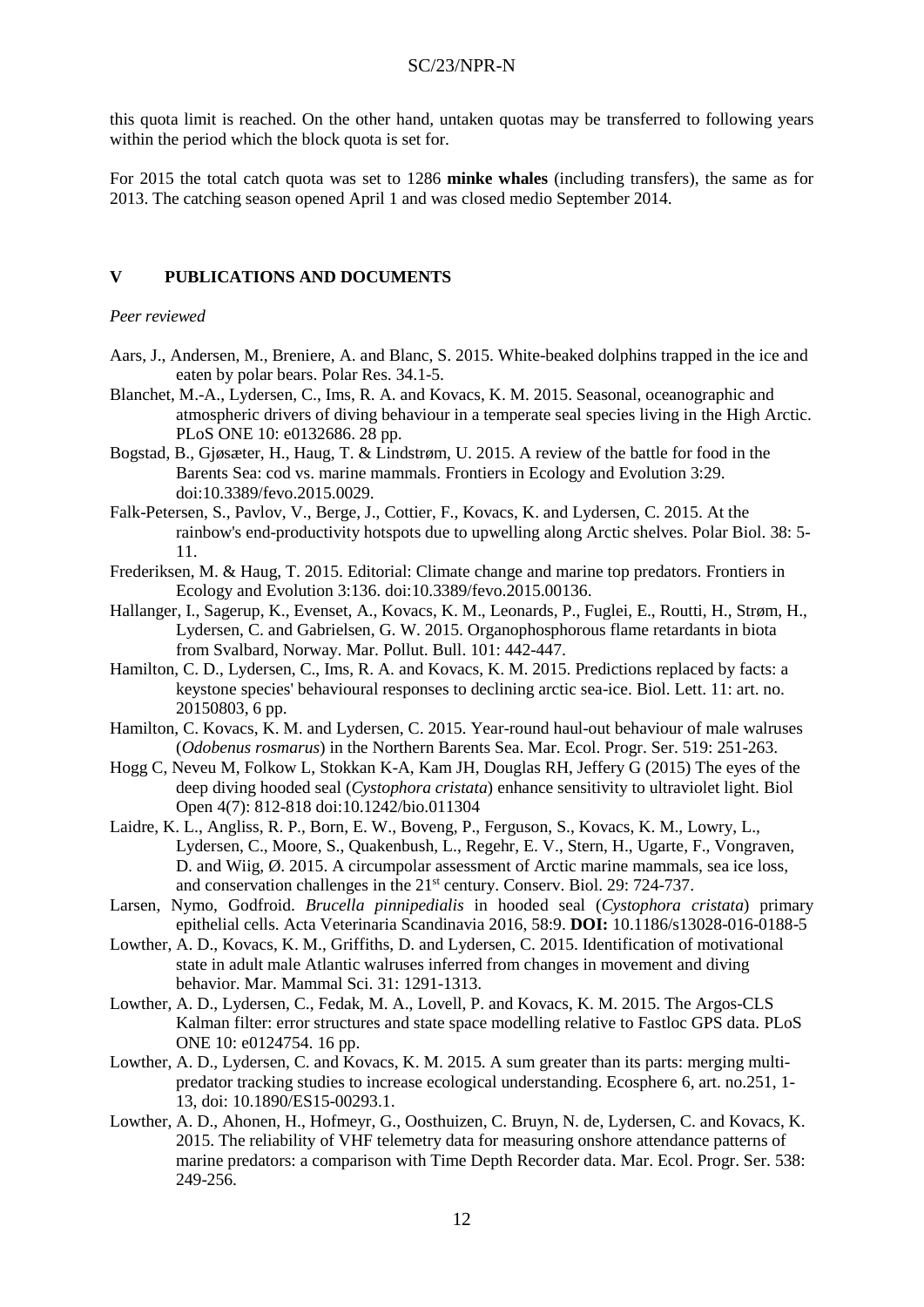this quota limit is reached. On the other hand, untaken quotas may be transferred to following years within the period which the block quota is set for.

For 2015 the total catch quota was set to 1286 **minke whales** (including transfers), the same as for 2013. The catching season opened April 1 and was closed medio September 2014.

### **V PUBLICATIONS AND DOCUMENTS**

### *Peer reviewed*

- Aars, J., Andersen, M., Breniere, A. and Blanc, S. 2015. White-beaked dolphins trapped in the ice and eaten by polar bears. Polar Res. 34.1-5.
- Blanchet, M.-A., Lydersen, C., Ims, R. A. and Kovacs, K. M. 2015. Seasonal, oceanographic and atmospheric drivers of diving behaviour in a temperate seal species living in the High Arctic. PLoS ONE 10: e0132686. 28 pp.
- Bogstad, B., Gjøsæter, H., Haug, T. & Lindstrøm, U. 2015. A review of the battle for food in the Barents Sea: cod vs. marine mammals. Frontiers in Ecology and Evolution 3:29. doi:10.3389/fevo.2015.0029.
- Falk-Petersen, S., Pavlov, V., Berge, J., Cottier, F., Kovacs, K. and Lydersen, C. 2015. At the rainbow's end-productivity hotspots due to upwelling along Arctic shelves. Polar Biol. 38: 5- 11.
- Frederiksen, M. & Haug, T. 2015. Editorial: Climate change and marine top predators. Frontiers in Ecology and Evolution 3:136. doi:10.3389/fevo.2015.00136.
- Hallanger, I., Sagerup, K., Evenset, A., Kovacs, K. M., Leonards, P., Fuglei, E., Routti, H., Strøm, H., Lydersen, C. and Gabrielsen, G. W. 2015. Organophosphorous flame retardants in biota from Svalbard, Norway. Mar. Pollut. Bull. 101: 442-447.
- Hamilton, C. D., Lydersen, C., Ims, R. A. and Kovacs, K. M. 2015. Predictions replaced by facts: a keystone species' behavioural responses to declining arctic sea-ice. Biol. Lett. 11: art. no. 20150803, 6 pp.
- Hamilton, C. Kovacs, K. M. and Lydersen, C. 2015. Year-round haul-out behaviour of male walruses (*Odobenus rosmarus*) in the Northern Barents Sea. Mar. Ecol. Progr. Ser. 519: 251-263.
- Hogg C, Neveu M, Folkow L, Stokkan K-A, Kam JH, Douglas RH, Jeffery G (2015) The eyes of the deep diving hooded seal (*Cystophora cristata*) enhance sensitivity to ultraviolet light. Biol Open 4(7): 812-818 doi:10.1242/bio.011304
- Laidre, K. L., Angliss, R. P., Born, E. W., Boveng, P., Ferguson, S., Kovacs, K. M., Lowry, L., Lydersen, C., Moore, S., Quakenbush, L., Regehr, E. V., Stern, H., Ugarte, F., Vongraven, D. and Wiig, Ø. 2015. A circumpolar assessment of Arctic marine mammals, sea ice loss, and conservation challenges in the 21<sup>st</sup> century. Conserv. Biol. 29: 724-737.
- Larsen, Nymo, Godfroid. *Brucella pinnipedialis* in hooded seal (*Cystophora cristata*) primary epithelial cells. Acta Veterinaria Scandinavia 2016, 58:9. **DOI:** 10.1186/s13028-016-0188-5
- Lowther, A. D., Kovacs, K. M., Griffiths, D. and Lydersen, C. 2015. Identification of motivational state in adult male Atlantic walruses inferred from changes in movement and diving behavior. Mar. Mammal Sci. 31: 1291-1313.
- Lowther, A. D., Lydersen, C., Fedak, M. A., Lovell, P. and Kovacs, K. M. 2015. The Argos-CLS Kalman filter: error structures and state space modelling relative to Fastloc GPS data. PLoS ONE 10: e0124754. 16 pp.
- Lowther, A. D., Lydersen, C. and Kovacs, K. M. 2015. A sum greater than its parts: merging multipredator tracking studies to increase ecological understanding. Ecosphere 6, art. no.251, 1- 13, doi: 10.1890/ES15-00293.1.
- Lowther, A. D., Ahonen, H., Hofmeyr, G., Oosthuizen, C. Bruyn, N. de, Lydersen, C. and Kovacs, K. 2015. The reliability of VHF telemetry data for measuring onshore attendance patterns of marine predators: a comparison with Time Depth Recorder data. Mar. Ecol. Progr. Ser. 538: 249-256.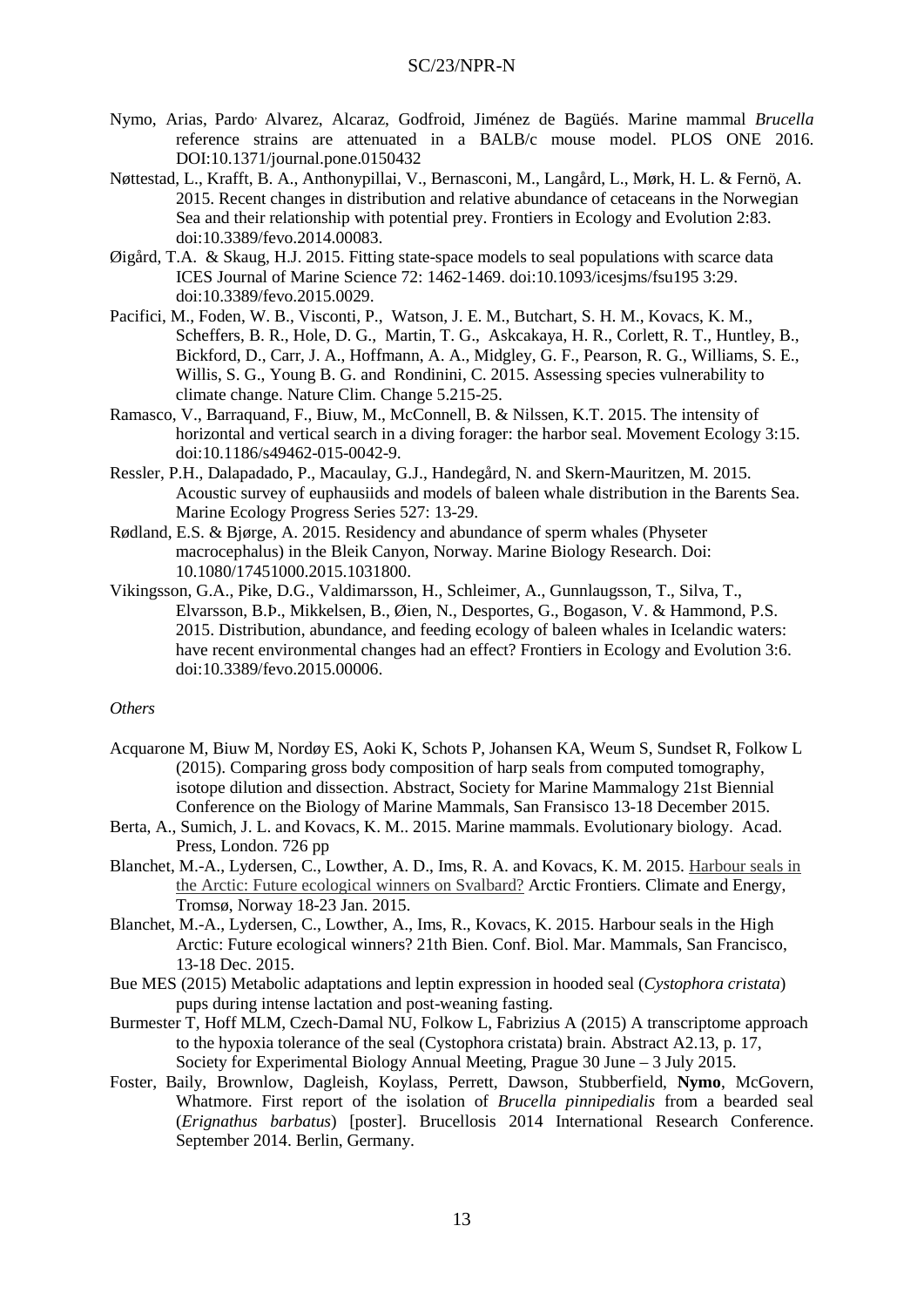- Nymo, Arias, Pardo, Alvarez, Alcaraz, Godfroid, Jiménez de Bagüés. Marine mammal *Brucella* reference strains are attenuated in a BALB/c mouse model. PLOS ONE 2016. DOI:10.1371/journal.pone.0150432
- Nøttestad, L., Krafft, B. A., Anthonypillai, V., Bernasconi, M., Langård, L., Mørk, H. L. & Fernö, A. 2015. Recent changes in distribution and relative abundance of cetaceans in the Norwegian Sea and their relationship with potential prey. Frontiers in Ecology and Evolution 2:83. doi:10.3389/fevo.2014.00083.
- Øigård, T.A. & Skaug, H.J. 2015. Fitting state-space models to seal populations with scarce data ICES Journal of Marine Science 72: 1462-1469. doi:10.1093/icesjms/fsu195 3:29. doi:10.3389/fevo.2015.0029.
- Pacifici, M., Foden, W. B., Visconti, P., Watson, J. E. M., Butchart, S. H. M., Kovacs, K. M., Scheffers, B. R., Hole, D. G., Martin, T. G., Askcakaya, H. R., Corlett, R. T., Huntley, B., Bickford, D., Carr, J. A., Hoffmann, A. A., Midgley, G. F., Pearson, R. G., Williams, S. E., Willis, S. G., Young B. G. and Rondinini, C. 2015. Assessing species vulnerability to climate change. Nature Clim. Change 5.215-25.
- Ramasco, V., Barraquand, F., Biuw, M., McConnell, B. & Nilssen, K.T. 2015. The intensity of horizontal and vertical search in a diving forager: the harbor seal. Movement Ecology 3:15. doi:10.1186/s49462-015-0042-9.
- Ressler, P.H., Dalapadado, P., Macaulay, G.J., Handegård, N. and Skern-Mauritzen, M. 2015. Acoustic survey of euphausiids and models of baleen whale distribution in the Barents Sea. Marine Ecology Progress Series 527: 13-29.
- Rødland, E.S. & Bjørge, A. 2015. Residency and abundance of sperm whales (Physeter macrocephalus) in the Bleik Canyon, Norway. Marine Biology Research. Doi: 10.1080/17451000.2015.1031800.
- Vikingsson, G.A., Pike, D.G., Valdimarsson, H., Schleimer, A., Gunnlaugsson, T., Silva, T., Elvarsson, B.Þ., Mikkelsen, B., Øien, N., Desportes, G., Bogason, V. & Hammond, P.S. 2015. Distribution, abundance, and feeding ecology of baleen whales in Icelandic waters: have recent environmental changes had an effect? Frontiers in Ecology and Evolution 3:6. doi:10.3389/fevo.2015.00006.

#### *Others*

- Acquarone M, Biuw M, Nordøy ES, Aoki K, Schots P, Johansen KA, Weum S, Sundset R, Folkow L (2015). Comparing gross body composition of harp seals from computed tomography, isotope dilution and dissection. Abstract, Society for Marine Mammalogy 21st Biennial Conference on the Biology of Marine Mammals, San Fransisco 13-18 December 2015.
- Berta, A., Sumich, J. L. and Kovacs, K. M.. 2015. Marine mammals. Evolutionary biology. Acad. Press, London. 726 pp
- Blanchet, M.-A., Lydersen, C., Lowther, A. D., Ims, R. A. and Kovacs, K. M. 2015. [Harbour seals in](http://arcticfrontiers.conference-services.net/reports/template/onetextabstract.xml?xsl=template/onetextabstract.xsl&conferenceID=4282&abstractID=859558)  [the Arctic: Future ecological winners on Svalbard?](http://arcticfrontiers.conference-services.net/reports/template/onetextabstract.xml?xsl=template/onetextabstract.xsl&conferenceID=4282&abstractID=859558) Arctic Frontiers. Climate and Energy, Tromsø, Norway 18-23 Jan. 2015.
- Blanchet, M.-A., Lydersen, C., Lowther, A., Ims, R., Kovacs, K. 2015. Harbour seals in the High Arctic: Future ecological winners? 21th Bien. Conf. Biol. Mar. Mammals, San Francisco, 13-18 Dec. 2015.
- Bue MES (2015) Metabolic adaptations and leptin expression in hooded seal (*Cystophora cristata*) pups during intense lactation and post-weaning fasting.
- Burmester T, Hoff MLM, Czech-Damal NU, Folkow L, Fabrizius A (2015) A transcriptome approach to the hypoxia tolerance of the seal (Cystophora cristata) brain. Abstract A2.13, p. 17, Society for Experimental Biology Annual Meeting, Prague 30 June – 3 July 2015.
- Foster, Baily, Brownlow, Dagleish, Koylass, Perrett, Dawson, Stubberfield, **Nymo**, McGovern, Whatmore. First report of the isolation of *Brucella pinnipedialis* from a bearded seal (*Erignathus barbatus*) [poster]. Brucellosis 2014 International Research Conference. September 2014. Berlin, Germany.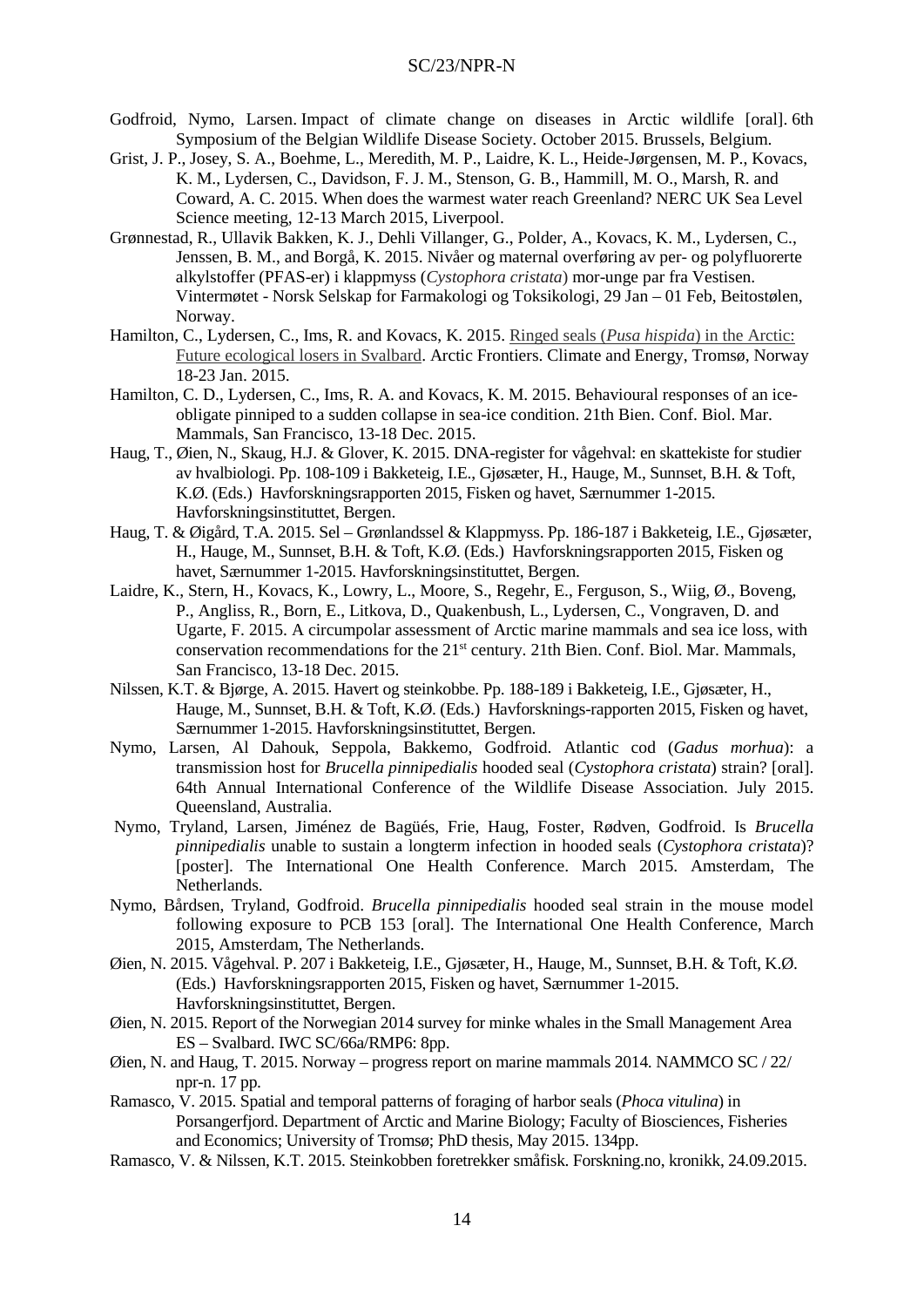- Godfroid, Nymo, Larsen. Impact of climate change on diseases in Arctic wildlife [oral]. 6th Symposium of the Belgian Wildlife Disease Society. October 2015. Brussels, Belgium.
- Grist, J. P., Josey, S. A., Boehme, L., Meredith, M. P., Laidre, K. L., Heide-Jørgensen, M. P., Kovacs, K. M., Lydersen, C., Davidson, F. J. M., Stenson, G. B., Hammill, M. O., Marsh, R. and Coward, A. C. 2015. When does the warmest water reach Greenland? NERC UK Sea Level Science meeting, 12-13 March 2015, Liverpool.
- Grønnestad, R., Ullavik Bakken, K. J., Dehli Villanger, G., Polder, A., Kovacs, K. M., Lydersen, C., Jenssen, B. M., and Borgå, K. 2015. Nivåer og maternal overføring av per- og polyfluorerte alkylstoffer (PFAS-er) i klappmyss (*Cystophora cristata*) mor-unge par fra Vestisen. Vintermøtet - Norsk Selskap for Farmakologi og Toksikologi, 29 Jan – 01 Feb, Beitostølen, Norway.
- Hamilton, C., Lydersen, C., Ims, R. and Kovacs, K. 2015. Ringed seals (*Pusa hispida*[\) in the Arctic:](http://arcticfrontiers.conference-services.net/reports/template/onetextabstract.xml?xsl=template/onetextabstract.xsl&conferenceID=4282&abstractID=866000)  [Future ecological losers in Svalbard.](http://arcticfrontiers.conference-services.net/reports/template/onetextabstract.xml?xsl=template/onetextabstract.xsl&conferenceID=4282&abstractID=866000) Arctic Frontiers. Climate and Energy, Tromsø, Norway 18-23 Jan. 2015.
- Hamilton, C. D., Lydersen, C., Ims, R. A. and Kovacs, K. M. 2015. Behavioural responses of an iceobligate pinniped to a sudden collapse in sea-ice condition. 21th Bien. Conf. Biol. Mar. Mammals, San Francisco, 13-18 Dec. 2015.
- Haug, T., Øien, N., Skaug, H.J. & Glover, K. 2015. DNA-register for vågehval: en skattekiste for studier av hvalbiologi. Pp. 108-109 i Bakketeig, I.E., Gjøsæter, H., Hauge, M., Sunnset, B.H. & Toft, K.Ø. (Eds.) Havforskningsrapporten 2015, Fisken og havet, Særnummer 1-2015. Havforskningsinstituttet, Bergen.
- Haug, T. & Øigård, T.A. 2015. Sel Grønlandssel & Klappmyss. Pp. 186-187 i Bakketeig, I.E., Gjøsæter, H., Hauge, M., Sunnset, B.H. & Toft, K.Ø. (Eds.) Havforskningsrapporten 2015, Fisken og havet, Særnummer 1-2015. Havforskningsinstituttet, Bergen.
- Laidre, K., Stern, H., Kovacs, K., Lowry, L., Moore, S., Regehr, E., Ferguson, S., Wiig, Ø., Boveng, P., Angliss, R., Born, E., Litkova, D., Quakenbush, L., Lydersen, C., Vongraven, D. and Ugarte, F. 2015. A circumpolar assessment of Arctic marine mammals and sea ice loss, with conservation recommendations for the  $21<sup>st</sup>$  century. 21th Bien. Conf. Biol. Mar. Mammals, San Francisco, 13-18 Dec. 2015.
- Nilssen, K.T. & Bjørge, A. 2015. Havert og steinkobbe. Pp. 188-189 i Bakketeig, I.E., Gjøsæter, H., Hauge, M., Sunnset, B.H. & Toft, K.Ø. (Eds.) Havforsknings-rapporten 2015, Fisken og havet, Særnummer 1-2015. Havforskningsinstituttet, Bergen.
- Nymo, Larsen, Al Dahouk, Seppola, Bakkemo, Godfroid. Atlantic cod (*Gadus morhua*): a transmission host for *Brucella pinnipedialis* hooded seal (*Cystophora cristata*) strain? [oral]. 64th Annual International Conference of the Wildlife Disease Association. July 2015. Queensland, Australia.
- Nymo, Tryland, Larsen, Jiménez de Bagüés, Frie, Haug, Foster, Rødven, Godfroid. Is *Brucella pinnipedialis* unable to sustain a longterm infection in hooded seals (*Cystophora cristata*)? [poster]. The International One Health Conference. March 2015. Amsterdam, The Netherlands.
- Nymo, Bårdsen, Tryland, Godfroid. *Brucella pinnipedialis* hooded seal strain in the mouse model following exposure to PCB 153 [oral]. The International One Health Conference, March 2015, Amsterdam, The Netherlands.
- Øien, N. 2015. Vågehval. P. 207 i Bakketeig, I.E., Gjøsæter, H., Hauge, M., Sunnset, B.H. & Toft, K.Ø. (Eds.) Havforskningsrapporten 2015, Fisken og havet, Særnummer 1-2015. Havforskningsinstituttet, Bergen.
- Øien, N. 2015. Report of the Norwegian 2014 survey for minke whales in the Small Management Area ES – Svalbard. IWC SC/66a/RMP6: 8pp.
- Øien, N. and Haug, T. 2015. Norway progress report on marine mammals 2014. NAMMCO SC / 22/ npr-n. 17 pp.
- Ramasco, V. 2015. Spatial and temporal patterns of foraging of harbor seals (*Phoca vitulina*) in Porsangerfjord. Department of Arctic and Marine Biology; Faculty of Biosciences, Fisheries and Economics; University of Tromsø; PhD thesis, May 2015. 134pp.
- Ramasco, V. & Nilssen, K.T. 2015. Steinkobben foretrekker småfisk. Forskning.no, kronikk, 24.09.2015.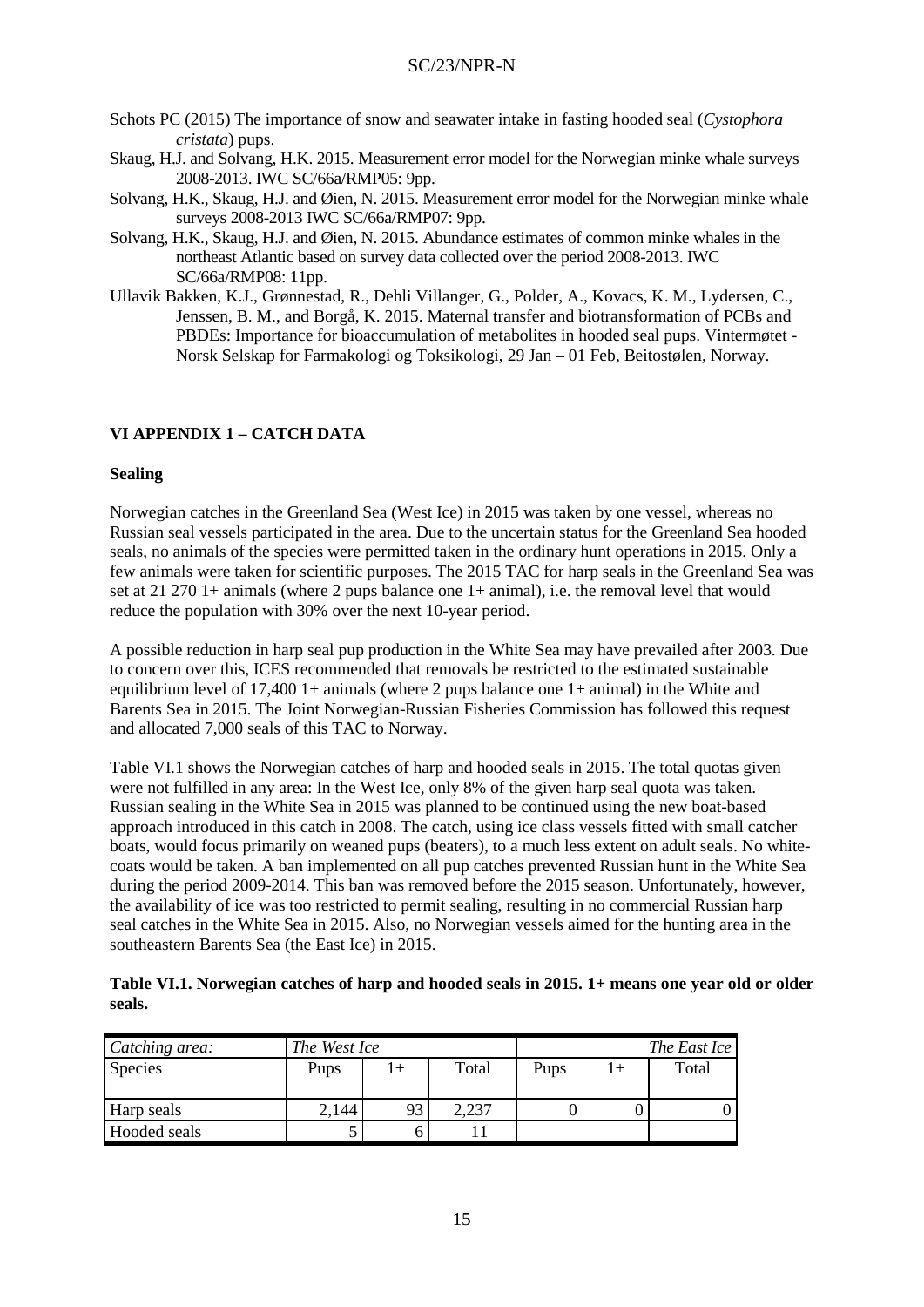- Schots PC (2015) The importance of snow and seawater intake in fasting hooded seal (*Cystophora cristata*) pups.
- Skaug, H.J. and Solvang, H.K. 2015. Measurement error model for the Norwegian minke whale surveys 2008-2013. IWC SC/66a/RMP05: 9pp.
- Solvang, H.K., Skaug, H.J. and Øien, N. 2015. Measurement error model for the Norwegian minke whale surveys 2008-2013 IWC SC/66a/RMP07: 9pp.
- Solvang, H.K., Skaug, H.J. and Øien, N. 2015. Abundance estimates of common minke whales in the northeast Atlantic based on survey data collected over the period 2008-2013. IWC SC/66a/RMP08: 11pp.
- Ullavik Bakken, K.J., Grønnestad, R., Dehli Villanger, G., Polder, A., Kovacs, K. M., Lydersen, C., Jenssen, B. M., and Borgå, K. 2015. Maternal transfer and biotransformation of PCBs and PBDEs: Importance for bioaccumulation of metabolites in hooded seal pups. Vintermøtet - Norsk Selskap for Farmakologi og Toksikologi, 29 Jan – 01 Feb, Beitostølen, Norway.

# **VI APPENDIX 1 – CATCH DATA**

### **Sealing**

Norwegian catches in the Greenland Sea (West Ice) in 2015 was taken by one vessel, whereas no Russian seal vessels participated in the area. Due to the uncertain status for the Greenland Sea hooded seals, no animals of the species were permitted taken in the ordinary hunt operations in 2015. Only a few animals were taken for scientific purposes. The 2015 TAC for harp seals in the Greenland Sea was set at 21 270 1+ animals (where 2 pups balance one 1+ animal), i.e. the removal level that would reduce the population with 30% over the next 10-year period.

A possible reduction in harp seal pup production in the White Sea may have prevailed after 2003. Due to concern over this, ICES recommended that removals be restricted to the estimated sustainable equilibrium level of 17,400 1+ animals (where 2 pups balance one  $1+$  animal) in the White and Barents Sea in 2015. The Joint Norwegian-Russian Fisheries Commission has followed this request and allocated 7,000 seals of this TAC to Norway.

Table VI.1 shows the Norwegian catches of harp and hooded seals in 2015. The total quotas given were not fulfilled in any area: In the West Ice, only 8% of the given harp seal quota was taken. Russian sealing in the White Sea in 2015 was planned to be continued using the new boat-based approach introduced in this catch in 2008. The catch, using ice class vessels fitted with small catcher boats, would focus primarily on weaned pups (beaters), to a much less extent on adult seals. No whitecoats would be taken. A ban implemented on all pup catches prevented Russian hunt in the White Sea during the period 2009-2014. This ban was removed before the 2015 season. Unfortunately, however, the availability of ice was too restricted to permit sealing, resulting in no commercial Russian harp seal catches in the White Sea in 2015. Also, no Norwegian vessels aimed for the hunting area in the southeastern Barents Sea (the East Ice) in 2015.

**Table VI.1. Norwegian catches of harp and hooded seals in 2015. 1+ means one year old or older seals.**

| Catching area: | The West Ice |     |       | The East Ice |  |       |  |
|----------------|--------------|-----|-------|--------------|--|-------|--|
| <b>Species</b> | Pups         | $+$ | Total | Pups         |  | Total |  |
| Harp seals     | 2,144        | 93  | 2.237 |              |  |       |  |
| Hooded seals   |              |     |       |              |  |       |  |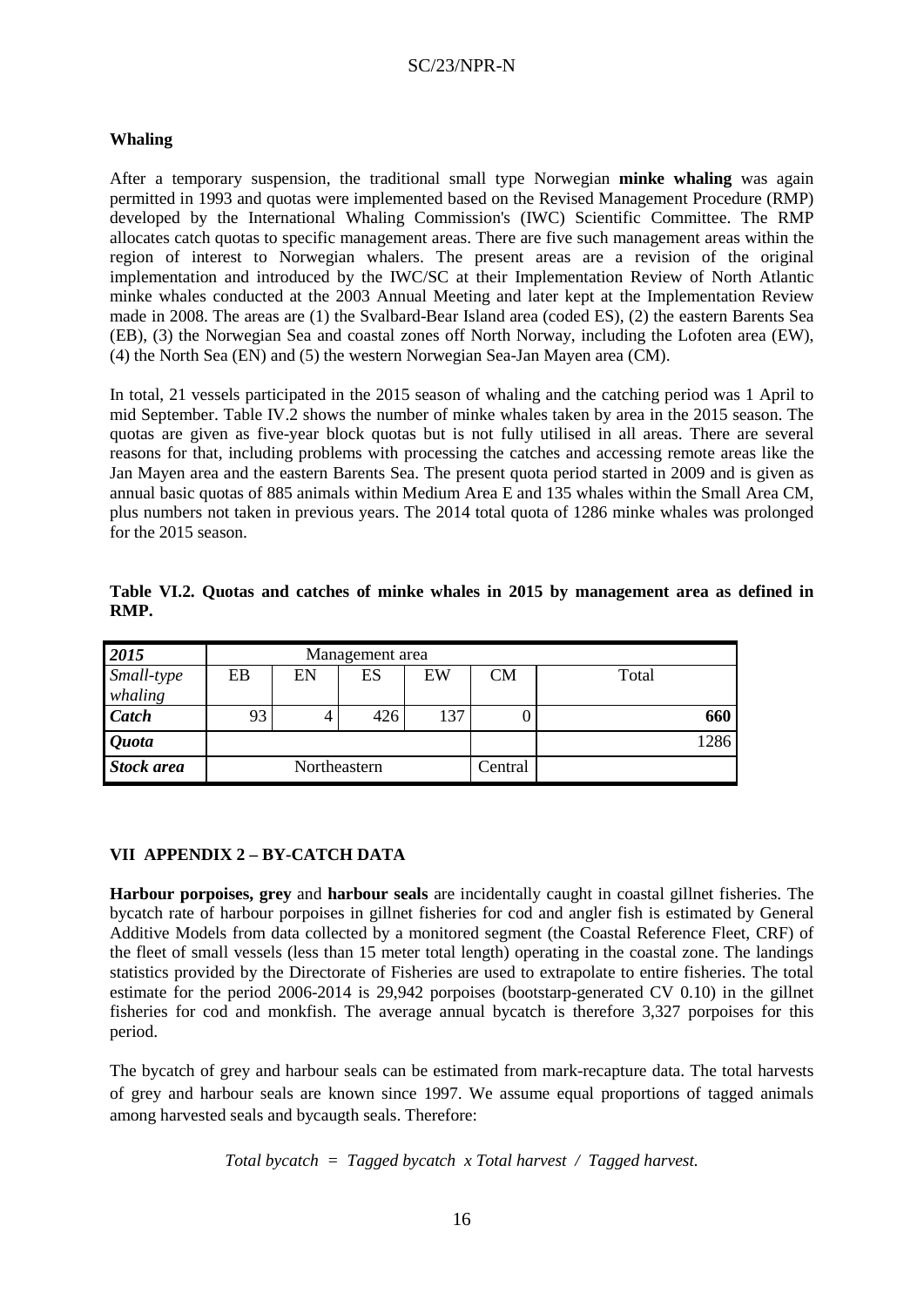### **Whaling**

After a temporary suspension, the traditional small type Norwegian **minke whaling** was again permitted in 1993 and quotas were implemented based on the Revised Management Procedure (RMP) developed by the International Whaling Commission's (IWC) Scientific Committee. The RMP allocates catch quotas to specific management areas. There are five such management areas within the region of interest to Norwegian whalers. The present areas are a revision of the original implementation and introduced by the IWC/SC at their Implementation Review of North Atlantic minke whales conducted at the 2003 Annual Meeting and later kept at the Implementation Review made in 2008. The areas are (1) the Svalbard-Bear Island area (coded ES), (2) the eastern Barents Sea (EB), (3) the Norwegian Sea and coastal zones off North Norway, including the Lofoten area (EW), (4) the North Sea (EN) and (5) the western Norwegian Sea-Jan Mayen area (CM).

In total, 21 vessels participated in the 2015 season of whaling and the catching period was 1 April to mid September. Table IV.2 shows the number of minke whales taken by area in the 2015 season. The quotas are given as five-year block quotas but is not fully utilised in all areas. There are several reasons for that, including problems with processing the catches and accessing remote areas like the Jan Mayen area and the eastern Barents Sea. The present quota period started in 2009 and is given as annual basic quotas of 885 animals within Medium Area E and 135 whales within the Small Area CM, plus numbers not taken in previous years. The 2014 total quota of 1286 minke whales was prolonged for the 2015 season.

| 2015              | Management area |              |     |     |           |       |  |  |  |
|-------------------|-----------------|--------------|-----|-----|-----------|-------|--|--|--|
| Small-type        | EB              | EN           | ES  | EW  | <b>CM</b> | Total |  |  |  |
| whaling           |                 |              |     |     |           |       |  |  |  |
| <b>Catch</b>      | 93              |              | 426 | 137 |           | 660   |  |  |  |
| <b>Quota</b>      |                 |              |     |     |           | 1286  |  |  |  |
| <b>Stock area</b> |                 | Northeastern |     |     | Central   |       |  |  |  |

**Table VI.2. Quotas and catches of minke whales in 2015 by management area as defined in RMP.**

# **VII APPENDIX 2 – BY-CATCH DATA**

**Harbour porpoises, grey** and **harbour seals** are incidentally caught in coastal gillnet fisheries. The bycatch rate of harbour porpoises in gillnet fisheries for cod and angler fish is estimated by General Additive Models from data collected by a monitored segment (the Coastal Reference Fleet, CRF) of the fleet of small vessels (less than 15 meter total length) operating in the coastal zone. The landings statistics provided by the Directorate of Fisheries are used to extrapolate to entire fisheries. The total estimate for the period 2006-2014 is 29,942 porpoises (bootstarp-generated CV 0.10) in the gillnet fisheries for cod and monkfish. The average annual bycatch is therefore 3,327 porpoises for this period.

The bycatch of grey and harbour seals can be estimated from mark-recapture data. The total harvests of grey and harbour seals are known since 1997. We assume equal proportions of tagged animals among harvested seals and bycaugth seals. Therefore:

*Total bycatch = Tagged bycatch x Total harvest / Tagged harvest.*